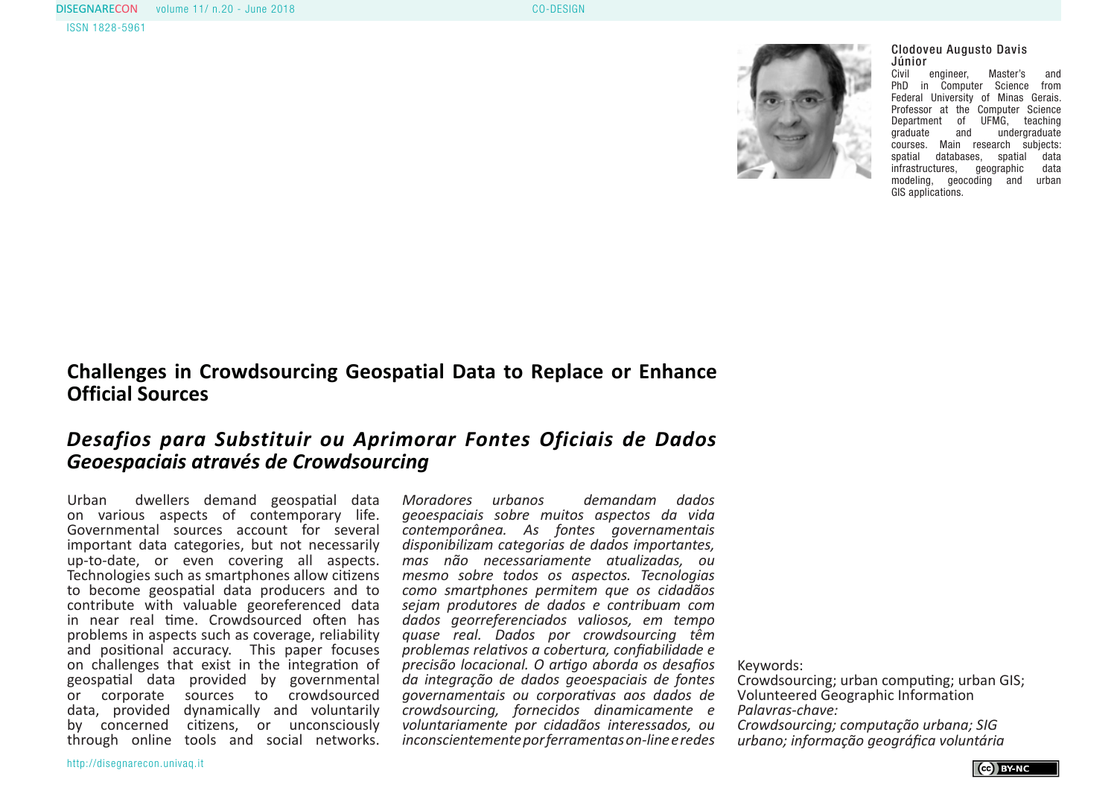

## Clodoveu Augusto Davis **Júnior**<br>Civil

engineer, Master's and PhD in Computer Science from Federal University of Minas Gerais. Professor at the Computer Science Department of UFMG, teaching<br>
graduate and undergraduate and undergraduate courses. Main research subjects:<br>spatial databases, spatial data spatial databases, spatial data<br>infrastructures, geographic data infrastructures, geographic modeling, geocoding and urban GIS applications.

## **Challenges in Crowdsourcing Geospatial Data to Replace or Enhance Official Sources**

# *Desafios para Substituir ou Aprimorar Fontes Oficiais de Dados Geoespaciais através de Crowdsourcing*

Urban dwellers demand geospatial data on various aspects of contemporary life. Governmental sources account for several important data categories, but not necessarily up-to-date, or even covering all aspects. Technologies such as smartphones allow citizens to become geospatial data producers and to contribute with valuable georeferenced data in near real time. Crowdsourced often has problems in aspects such as coverage, reliability and positional accuracy. This paper focuses on challenges that exist in the integration of geospatial data provided by governmental or corporate sources to crowdsourced data, provided dynamically and voluntarily by concerned citizens, or unconsciously through online tools and social networks.

*Moradores urbanos demandam dados geoespaciais sobre muitos aspectos da vida contemporânea. As fontes governamentais disponibilizam categorias de dados importantes, mas não necessariamente atualizadas, ou mesmo sobre todos os aspectos. Tecnologias como smartphones permitem que os cidadãos sejam produtores de dados e contribuam com dados georreferenciados valiosos, em tempo quase real. Dados por crowdsourcing têm problemas relativos a cobertura, confiabilidade e precisão locacional. O artigo aborda os desafios da integração de dados geoespaciais de fontes governamentais ou corporativas aos dados de crowdsourcing, fornecidos dinamicamente e voluntariamente por cidadãos interessados, ou inconscientemente por ferramentas on-line e redes* 

Keywords:

Crowdsourcing; urban computing; urban GIS; Volunteered Geographic Information *Palavras-chave: Crowdsourcing; computação urbana; SIG urbano; informação geográfica voluntária*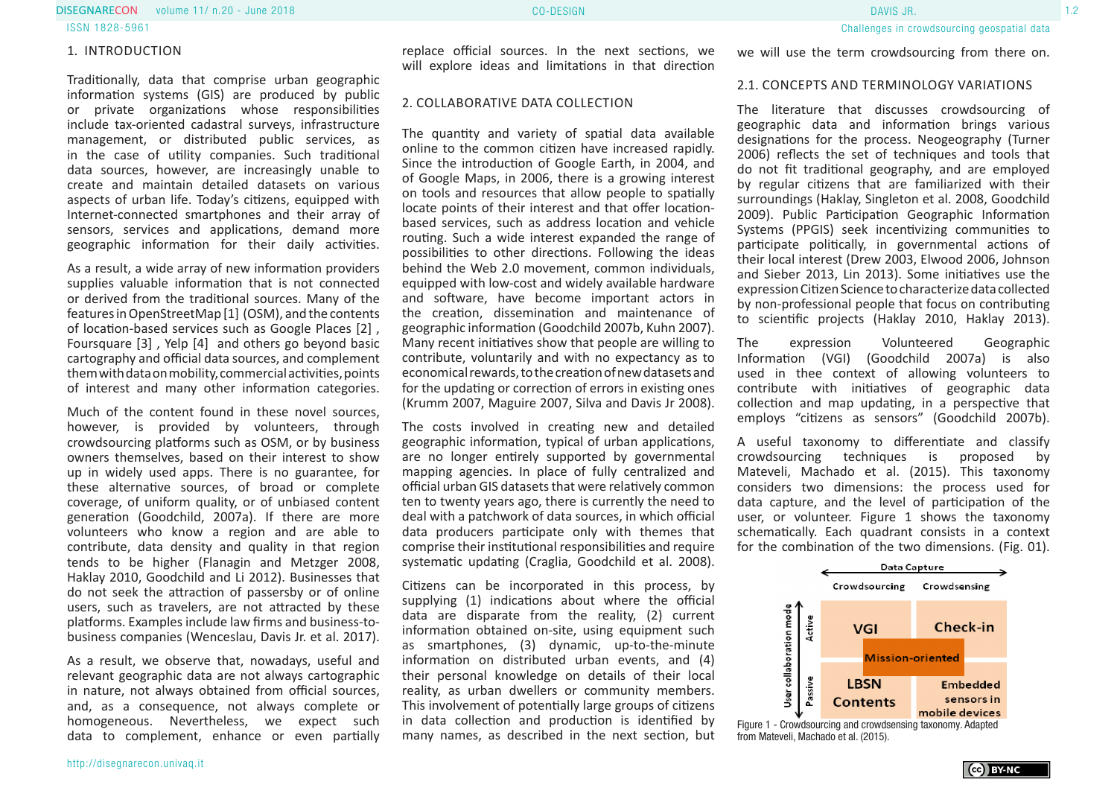volume 11/ n.20 - June 2018 CO-DESIGN 1.2 DISEGNARECON DAVIS JR.

ISSN 1828-5961

#### 1. INTRODUCTION

Traditionally, data that comprise urban geographic information systems (GIS) are produced by public or private organizations whose responsibilities include tax-oriented cadastral surveys, infrastructure management, or distributed public services, as in the case of utility companies. Such traditional data sources, however, are increasingly unable to create and maintain detailed datasets on various aspects of urban life. Today's citizens, equipped with Internet-connected smartphones and their array of sensors, services and applications, demand more geographic information for their daily activities.

As a result, a wide array of new information providers supplies valuable information that is not connected or derived from the traditional sources. Many of the features in OpenStreetMap [1] (OSM), and the contents of location-based services such as Google Places [2] , Foursquare [3] , Yelp [4] and others go beyond basic cartography and official data sources, and complement them with data on mobility, commercial activities, points of interest and many other information categories.

Much of the content found in these novel sources, however, is provided by volunteers, through crowdsourcing platforms such as OSM, or by business owners themselves, based on their interest to show up in widely used apps. There is no guarantee, for these alternative sources, of broad or complete coverage, of uniform quality, or of unbiased content generation (Goodchild, 2007a). If there are more volunteers who know a region and are able to contribute, data density and quality in that region tends to be higher (Flanagin and Metzger 2008, Haklay 2010, Goodchild and Li 2012). Businesses that do not seek the attraction of passersby or of online users, such as travelers, are not attracted by these platforms. Examples include law firms and business-tobusiness companies (Wenceslau, Davis Jr. et al. 2017).

As a result, we observe that, nowadays, useful and relevant geographic data are not always cartographic in nature, not always obtained from official sources, and, as a consequence, not always complete or homogeneous. Nevertheless, we expect such data to complement, enhance or even partially

replace official sources. In the next sections, we will explore ideas and limitations in that direction

#### 2. COLLABORATIVE DATA COLLECTION

The quantity and variety of spatial data available online to the common citizen have increased rapidly. Since the introduction of Google Earth, in 2004, and of Google Maps, in 2006, there is a growing interest on tools and resources that allow people to spatially locate points of their interest and that offer locationbased services, such as address location and vehicle routing. Such a wide interest expanded the range of possibilities to other directions. Following the ideas behind the Web 2.0 movement, common individuals, equipped with low-cost and widely available hardware and software, have become important actors in the creation, dissemination and maintenance of geographic information (Goodchild 2007b, Kuhn 2007). Many recent initiatives show that people are willing to contribute, voluntarily and with no expectancy as to economical rewards, to the creation of new datasets and for the updating or correction of errors in existing ones (Krumm 2007, Maguire 2007, Silva and Davis Jr 2008).

The costs involved in creating new and detailed geographic information, typical of urban applications, are no longer entirely supported by governmental mapping agencies. In place of fully centralized and official urban GIS datasets that were relatively common ten to twenty years ago, there is currently the need to deal with a patchwork of data sources, in which official data producers participate only with themes that comprise their institutional responsibilities and require systematic updating (Craglia, Goodchild et al. 2008).

Citizens can be incorporated in this process, by supplying (1) indications about where the official data are disparate from the reality, (2) current information obtained on-site, using equipment such as smartphones, (3) dynamic, up-to-the-minute information on distributed urban events, and (4) their personal knowledge on details of their local reality, as urban dwellers or community members. This involvement of potentially large groups of citizens in data collection and production is identified by many names, as described in the next section, but

http://disegnarecon.univaq.it

#### 2.1. CONCEPTS AND TERMINOLOGY VARIATIONS

The literature that discusses crowdsourcing of geographic data and information brings various designations for the process. Neogeography (Turner 2006) reflects the set of techniques and tools that do not fit traditional geography, and are employed by regular citizens that are familiarized with their surroundings (Haklay, Singleton et al. 2008, Goodchild 2009). Public Participation Geographic Information Systems (PPGIS) seek incentivizing communities to participate politically, in governmental actions of their local interest (Drew 2003, Elwood 2006, Johnson and Sieber 2013, Lin 2013). Some initiatives use the expression Citizen Science to characterize data collected by non-professional people that focus on contributing to scientific projects (Haklay 2010, Haklay 2013).

The expression Volunteered Geographic Information (VGI) (Goodchild 2007a) is also used in thee context of allowing volunteers to contribute with initiatives of geographic data collection and map updating, in a perspective that employs "citizens as sensors" (Goodchild 2007b).

A useful taxonomy to differentiate and classify<br>crowdsourcing techniques is proposed by crowdsourcing techniques is Mateveli, Machado et al. (2015). This taxonomy considers two dimensions: the process used for data capture, and the level of participation of the user, or volunteer. Figure 1 shows the taxonomy schematically. Each quadrant consists in a context for the combination of the two dimensions. (Fig. 01).



(ce) BY-NC

Figure 1 - Crowdsourcing and crowdsensing taxonomy. Adapted from Mateveli, Machado et al. (2015).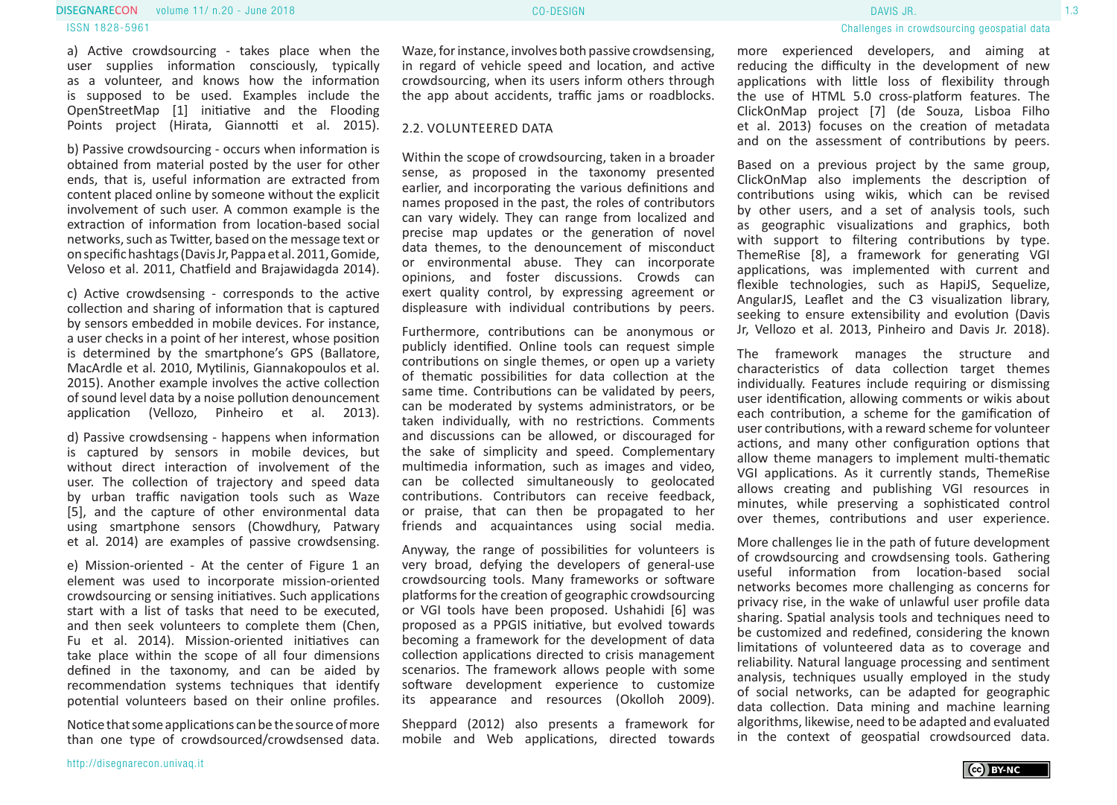#### volume 11/ n.20 - June 2018 CO-DESIGN 1.3 DISEGNARECON DAVIS JR. ISSN 1828-5961

a) Active crowdsourcing - takes place when the user supplies information consciously, typically as a volunteer, and knows how the information is supposed to be used. Examples include the OpenStreetMap [1] initiative and the Flooding Points project (Hirata, Giannotti et al. 2015).

b) Passive crowdsourcing - occurs when information is obtained from material posted by the user for other ends, that is, useful information are extracted from content placed online by someone without the explicit involvement of such user. A common example is the extraction of information from location-based social networks, such as Twitter, based on the message text or on specific hashtags (Davis Jr, Pappa et al. 2011, Gomide, Veloso et al. 2011, Chatfield and Brajawidagda 2014).

c) Active crowdsensing - corresponds to the active collection and sharing of information that is captured by sensors embedded in mobile devices. For instance, a user checks in a point of her interest, whose position is determined by the smartphone's GPS (Ballatore, MacArdle et al. 2010, Mytilinis, Giannakopoulos et al. 2015). Another example involves the active collection of sound level data by a noise pollution denouncement application (Vellozo, Pinheiro et al. 2013).

d) Passive crowdsensing - happens when information is captured by sensors in mobile devices, but without direct interaction of involvement of the user. The collection of trajectory and speed data by urban traffic navigation tools such as Waze [5], and the capture of other environmental data using smartphone sensors (Chowdhury, Patwary et al. 2014) are examples of passive crowdsensing.

e) Mission-oriented - At the center of Figure 1 an element was used to incorporate mission-oriented crowdsourcing or sensing initiatives. Such applications start with a list of tasks that need to be executed, and then seek volunteers to complete them (Chen, Fu et al. 2014). Mission-oriented initiatives can take place within the scope of all four dimensions defined in the taxonomy, and can be aided by recommendation systems techniques that identify potential volunteers based on their online profiles.

Notice that some applications can be the source of more than one type of crowdsourced/crowdsensed data.

Waze, for instance, involves both passive crowdsensing, in regard of vehicle speed and location, and active crowdsourcing, when its users inform others through the app about accidents, traffic jams or roadblocks.

#### 2.2. VOLUNTEERED DATA

Within the scope of crowdsourcing, taken in a broader sense, as proposed in the taxonomy presented earlier, and incorporating the various definitions and names proposed in the past, the roles of contributors can vary widely. They can range from localized and precise map updates or the generation of novel data themes, to the denouncement of misconduct or environmental abuse. They can incorporate opinions, and foster discussions. Crowds can exert quality control, by expressing agreement or displeasure with individual contributions by peers.

Furthermore, contributions can be anonymous or publicly identified. Online tools can request simple contributions on single themes, or open up a variety of thematic possibilities for data collection at the same time. Contributions can be validated by peers, can be moderated by systems administrators, or be taken individually, with no restrictions. Comments and discussions can be allowed, or discouraged for the sake of simplicity and speed. Complementary multimedia information, such as images and video, can be collected simultaneously to geolocated contributions. Contributors can receive feedback, or praise, that can then be propagated to her friends and acquaintances using social media.

Anyway, the range of possibilities for volunteers is very broad, defying the developers of general-use crowdsourcing tools. Many frameworks or software platforms for the creation of geographic crowdsourcing or VGI tools have been proposed. Ushahidi [6] was proposed as a PPGIS initiative, but evolved towards becoming a framework for the development of data collection applications directed to crisis management scenarios. The framework allows people with some software development experience to customize its appearance and resources (Okolloh 2009).

Sheppard (2012) also presents a framework for mobile and Web applications, directed towards more experienced developers, and aiming at reducing the difficulty in the development of new applications with little loss of flexibility through the use of HTML 5.0 cross-platform features. The ClickOnMap project [7] (de Souza, Lisboa Filho et al. 2013) focuses on the creation of metadata and on the assessment of contributions by peers.

Based on a previous project by the same group, ClickOnMap also implements the description of contributions using wikis, which can be revised by other users, and a set of analysis tools, such as geographic visualizations and graphics, both with support to filtering contributions by type. ThemeRise [8], a framework for generating VGI applications, was implemented with current and flexible technologies, such as HapiJS, Sequelize, AngularJS, Leaflet and the C3 visualization library, seeking to ensure extensibility and evolution (Davis Jr, Vellozo et al. 2013, Pinheiro and Davis Jr. 2018).

The framework manages the structure and characteristics of data collection target themes individually. Features include requiring or dismissing user identification, allowing comments or wikis about each contribution, a scheme for the gamification of user contributions, with a reward scheme for volunteer actions, and many other configuration options that allow theme managers to implement multi-thematic VGI applications. As it currently stands, ThemeRise allows creating and publishing VGI resources in minutes, while preserving a sophisticated control over themes, contributions and user experience.

More challenges lie in the path of future development of crowdsourcing and crowdsensing tools. Gathering useful information from location-based social networks becomes more challenging as concerns for privacy rise, in the wake of unlawful user profile data sharing. Spatial analysis tools and techniques need to be customized and redefined, considering the known limitations of volunteered data as to coverage and reliability. Natural language processing and sentiment analysis, techniques usually employed in the study of social networks, can be adapted for geographic data collection. Data mining and machine learning algorithms, likewise, need to be adapted and evaluated in the context of geospatial crowdsourced data.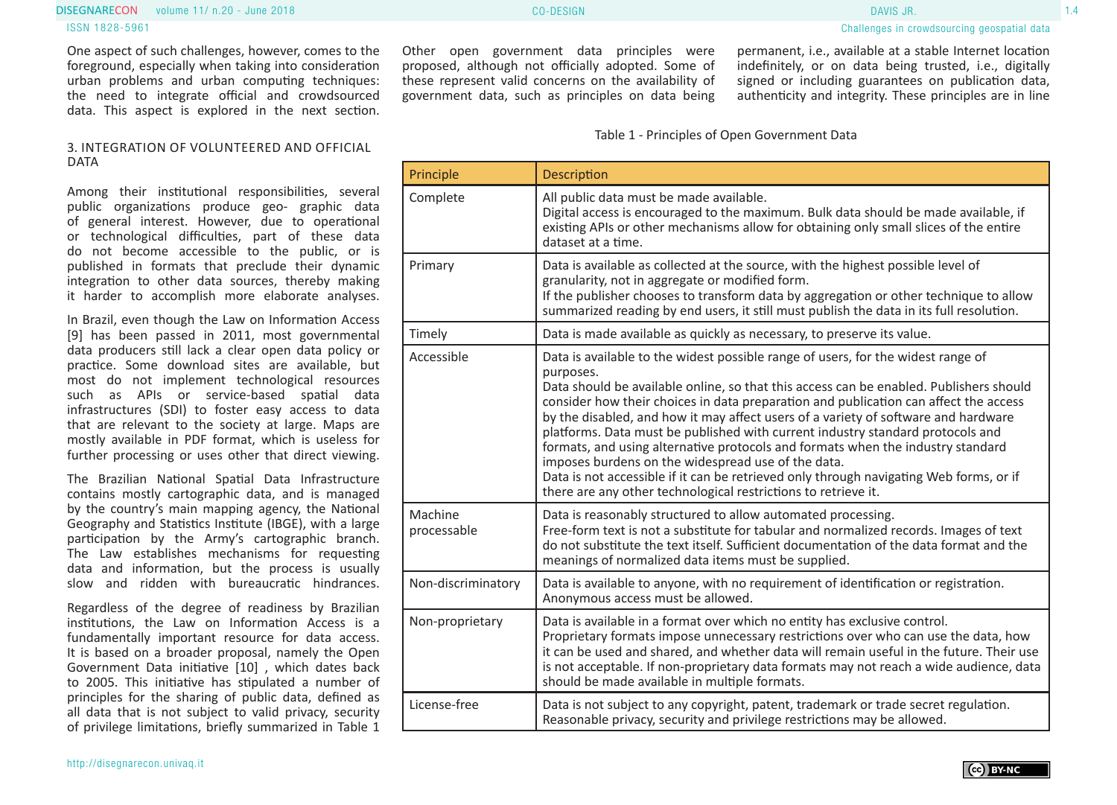### volume 11/ n.20 - June 2018 CO-DESIGN 1.4 DISEGNARECON DAVIS JR. ISSN 1828-5961

One aspect of such challenges, however, comes to the foreground, especially when taking into consideration urban problems and urban computing techniques: the need to integrate official and crowdsourced data. This aspect is explored in the next section.

#### 3. INTEGRATION OF VOLUNTEERED AND OFFICIAL DATA

Among their institutional responsibilities, several public organizations produce geo- graphic data of general interest. However, due to operational or technological difficulties, part of these data do not become accessible to the public, or is published in formats that preclude their dynamic integration to other data sources, thereby making it harder to accomplish more elaborate analyses.

In Brazil, even though the Law on Information Access [9] has been passed in 2011, most governmental data producers still lack a clear open data policy or practice. Some download sites are available, but most do not implement technological resources such as APIs or service-based spatial data infrastructures (SDI) to foster easy access to data that are relevant to the society at large. Maps are mostly available in PDF format, which is useless for further processing or uses other that direct viewing.

The Brazilian National Spatial Data Infrastructure contains mostly cartographic data, and is managed by the country's main mapping agency, the National Geography and Statistics Institute (IBGE), with a large participation by the Army's cartographic branch. The Law establishes mechanisms for requesting data and information, but the process is usually slow and ridden with bureaucratic hindrances.

Regardless of the degree of readiness by Brazilian institutions, the Law on Information Access is a fundamentally important resource for data access. It is based on a broader proposal, namely the Open Government Data initiative [10] , which dates back to 2005. This initiative has stipulated a number of principles for the sharing of public data, defined as all data that is not subject to valid privacy, security of privilege limitations, briefly summarized in Table 1

Other open government data principles were proposed, although not officially adopted. Some of these represent valid concerns on the availability of government data, such as principles on data being permanent, i.e., available at a stable Internet location indefinitely, or on data being trusted, i.e., digitally signed or including guarantees on publication data, authenticity and integrity. These principles are in line

Table 1 - Principles of Open Government Data

| Principle              | <b>Description</b>                                                                                                                                                                                                                                                                                                                                                                                                                                                                                                                                                                                                                                                                                                                                           |
|------------------------|--------------------------------------------------------------------------------------------------------------------------------------------------------------------------------------------------------------------------------------------------------------------------------------------------------------------------------------------------------------------------------------------------------------------------------------------------------------------------------------------------------------------------------------------------------------------------------------------------------------------------------------------------------------------------------------------------------------------------------------------------------------|
| Complete               | All public data must be made available.<br>Digital access is encouraged to the maximum. Bulk data should be made available, if<br>existing APIs or other mechanisms allow for obtaining only small slices of the entire<br>dataset at a time.                                                                                                                                                                                                                                                                                                                                                                                                                                                                                                                |
| Primary                | Data is available as collected at the source, with the highest possible level of<br>granularity, not in aggregate or modified form.<br>If the publisher chooses to transform data by aggregation or other technique to allow<br>summarized reading by end users, it still must publish the data in its full resolution.                                                                                                                                                                                                                                                                                                                                                                                                                                      |
| Timely                 | Data is made available as quickly as necessary, to preserve its value.                                                                                                                                                                                                                                                                                                                                                                                                                                                                                                                                                                                                                                                                                       |
| Accessible             | Data is available to the widest possible range of users, for the widest range of<br>purposes.<br>Data should be available online, so that this access can be enabled. Publishers should<br>consider how their choices in data preparation and publication can affect the access<br>by the disabled, and how it may affect users of a variety of software and hardware<br>platforms. Data must be published with current industry standard protocols and<br>formats, and using alternative protocols and formats when the industry standard<br>imposes burdens on the widespread use of the data.<br>Data is not accessible if it can be retrieved only through navigating Web forms, or if<br>there are any other technological restrictions to retrieve it. |
| Machine<br>processable | Data is reasonably structured to allow automated processing.<br>Free-form text is not a substitute for tabular and normalized records. Images of text<br>do not substitute the text itself. Sufficient documentation of the data format and the<br>meanings of normalized data items must be supplied.                                                                                                                                                                                                                                                                                                                                                                                                                                                       |
| Non-discriminatory     | Data is available to anyone, with no requirement of identification or registration.<br>Anonymous access must be allowed.                                                                                                                                                                                                                                                                                                                                                                                                                                                                                                                                                                                                                                     |
| Non-proprietary        | Data is available in a format over which no entity has exclusive control.<br>Proprietary formats impose unnecessary restrictions over who can use the data, how<br>it can be used and shared, and whether data will remain useful in the future. Their use<br>is not acceptable. If non-proprietary data formats may not reach a wide audience, data<br>should be made available in multiple formats.                                                                                                                                                                                                                                                                                                                                                        |
| License-free           | Data is not subject to any copyright, patent, trademark or trade secret regulation.<br>Reasonable privacy, security and privilege restrictions may be allowed.                                                                                                                                                                                                                                                                                                                                                                                                                                                                                                                                                                                               |

Challenges in crowdsourcing geospatial data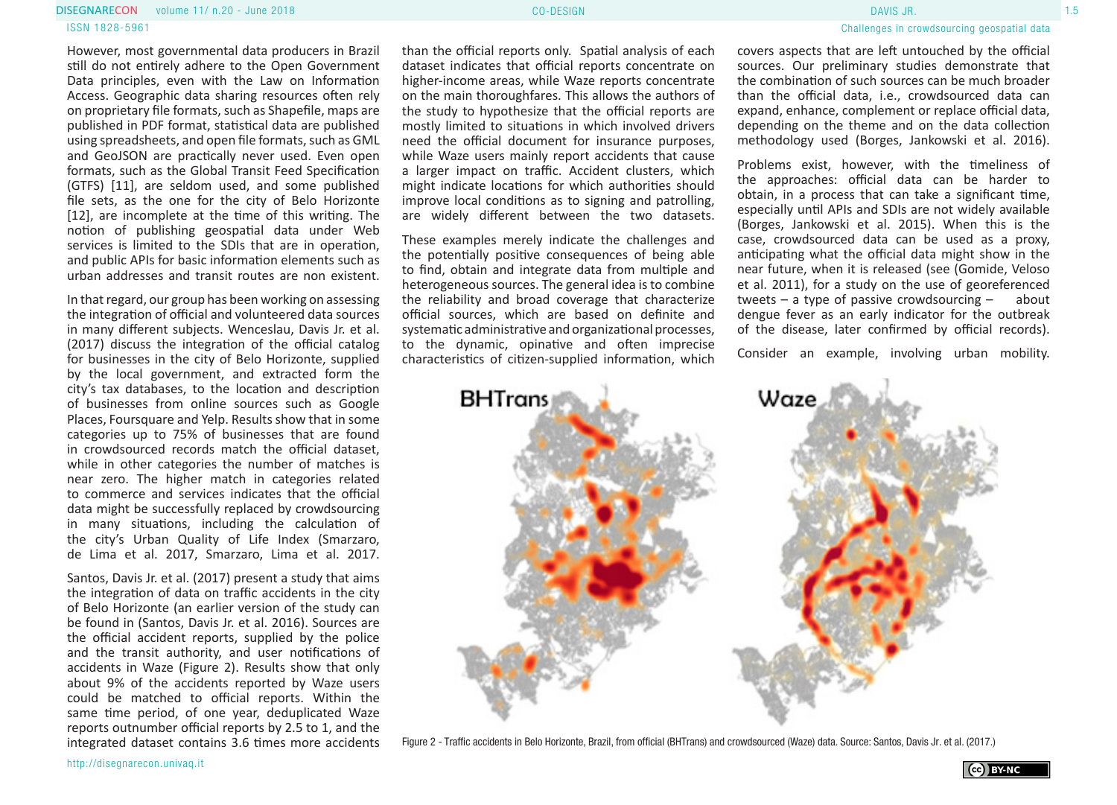#### volume 11/ n.20 - June 2018 CO-DESIGN 1.5 DISEGNARECON DAVIS JR. ISSN 1828-5961

However, most governmental data producers in Brazil still do not entirely adhere to the Open Government Data principles, even with the Law on Information Access. Geographic data sharing resources often rely on proprietary file formats, such as Shapefile, maps are published in PDF format, statistical data are published using spreadsheets, and open file formats, such as GML and GeoJSON are practically never used. Even open formats, such as the Global Transit Feed Specification (GTFS) [11], are seldom used, and some published file sets, as the one for the city of Belo Horizonte [12], are incomplete at the time of this writing. The notion of publishing geospatial data under Web services is limited to the SDIs that are in operation, and public APIs for basic information elements such as urban addresses and transit routes are non existent.

In that regard, our group has been working on assessing the integration of official and volunteered data sources in many different subjects. Wenceslau, Davis Jr. et al. (2017) discuss the integration of the official catalog for businesses in the city of Belo Horizonte, supplied by the local government, and extracted form the city's tax databases, to the location and description of businesses from online sources such as Google Places, Foursquare and Yelp. Results show that in some categories up to 75% of businesses that are found in crowdsourced records match the official dataset, while in other categories the number of matches is near zero. The higher match in categories related to commerce and services indicates that the official data might be successfully replaced by crowdsourcing in many situations, including the calculation of the city's Urban Quality of Life Index (Smarzaro, de Lima et al. 2017, Smarzaro, Lima et al. 2017.

Santos, Davis Jr. et al. (2017) present a study that aims the integration of data on traffic accidents in the city of Belo Horizonte (an earlier version of the study can be found in (Santos, Davis Jr. et al. 2016). Sources are the official accident reports, supplied by the police and the transit authority, and user notifications of accidents in Waze (Figure 2). Results show that only about 9% of the accidents reported by Waze users could be matched to official reports. Within the same time period, of one year, deduplicated Waze reports outnumber official reports by 2.5 to 1, and the integrated dataset contains 3.6 times more accidents

than the official reports only. Spatial analysis of each dataset indicates that official reports concentrate on higher-income areas, while Waze reports concentrate on the main thoroughfares. This allows the authors of the study to hypothesize that the official reports are mostly limited to situations in which involved drivers need the official document for insurance purposes, while Waze users mainly report accidents that cause a larger impact on traffic. Accident clusters, which might indicate locations for which authorities should improve local conditions as to signing and patrolling, are widely different between the two datasets.

These examples merely indicate the challenges and the potentially positive consequences of being able to find, obtain and integrate data from multiple and heterogeneous sources. The general idea is to combine the reliability and broad coverage that characterize official sources, which are based on definite and systematic administrative and organizational processes, to the dynamic, opinative and often imprecise characteristics of citizen-supplied information, which

### Challenges in crowdsourcing geospatial data

covers aspects that are left untouched by the official sources. Our preliminary studies demonstrate that the combination of such sources can be much broader than the official data, i.e., crowdsourced data can expand, enhance, complement or replace official data, depending on the theme and on the data collection methodology used (Borges, Jankowski et al. 2016).

Problems exist, however, with the timeliness of the approaches: official data can be harder to obtain, in a process that can take a significant time, especially until APIs and SDIs are not widely available (Borges, Jankowski et al. 2015). When this is the case, crowdsourced data can be used as a proxy, anticipating what the official data might show in the near future, when it is released (see (Gomide, Veloso et al. 2011), for a study on the use of georeferenced tweets – a type of passive crowdsourcing – about dengue fever as an early indicator for the outbreak of the disease, later confirmed by official records).

Consider an example, involving urban mobility.



Figure 2 - Traffic accidents in Belo Horizonte, Brazil, from official (BHTrans) and crowdsourced (Waze) data. Source: Santos, Davis Jr. et al. (2017.)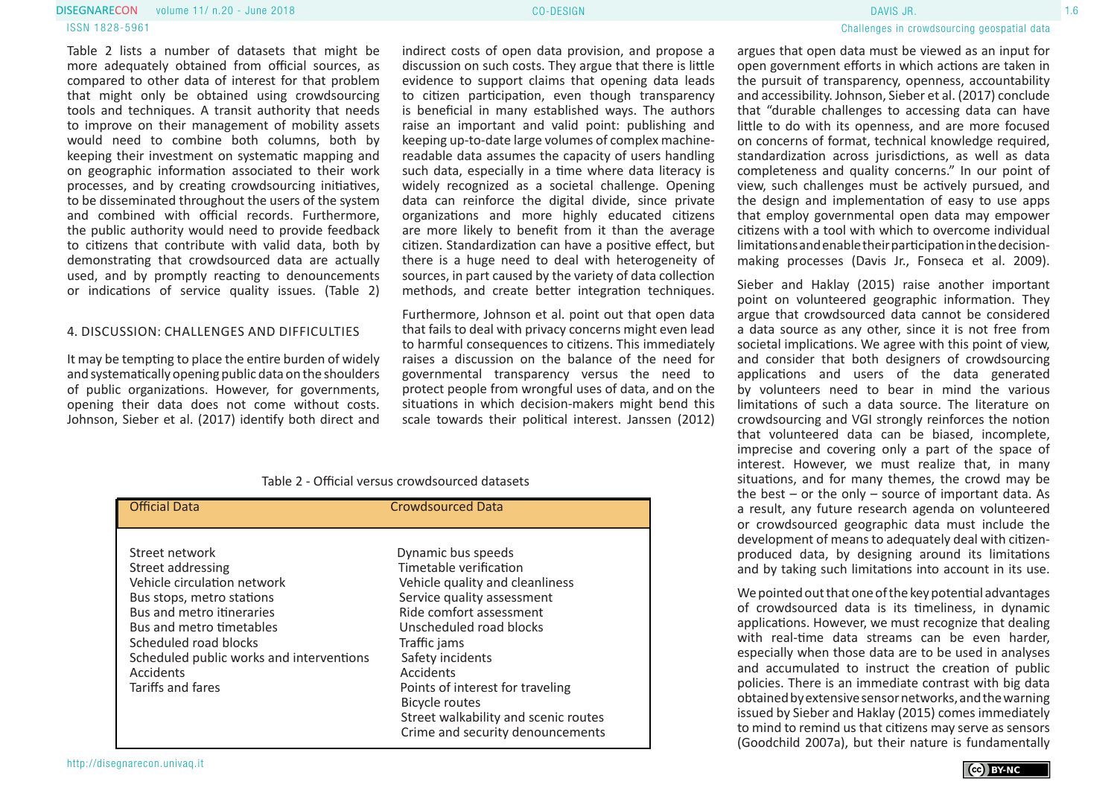#### volume 11/ n.20 - June 2018 Processes and the control of the CO-DESIGN Processes and the control of the control of the control of the control of the control of the control of the control of the control of the control of th **DISEGNARECON** volume 11/ n.20 - June 2018 **CONFINITION CONFIDENTIAL CO-DESIGN CO-DESIGN CO-DESIGN CO-DESIGN**

#### ISSN 1828-5961

Table 2 lists a number of datasets that might be more adequately obtained from official sources, as compared to other data of interest for that problem that might only be obtained using crowdsourcing tools and techniques. A transit authority that needs to improve on their management of mobility assets would need to combine both columns, both by keeping their investment on systematic mapping and on geographic information associated to their work processes, and by creating crowdsourcing initiatives, to be disseminated throughout the users of the system and combined with official records. Furthermore, the public authority would need to provide feedback to citizens that contribute with valid data, both by demonstrating that crowdsourced data are actually used, and by promptly reacting to denouncements or indications of service quality issues. (Table 2)

#### 4. DISCUSSION: CHALLENGES AND DIFFICULTIES

It may be tempting to place the entire burden of widely and systematically opening public data on the shoulders of public organizations. However, for governments, opening their data does not come without costs. Johnson, Sieber et al. (2017) identify both direct and

indirect costs of open data provision, and propose a discussion on such costs. They argue that there is little evidence to support claims that opening data leads to citizen participation, even though transparency is beneficial in many established ways. The authors raise an important and valid point: publishing and keeping up-to-date large volumes of complex machinereadable data assumes the capacity of users handling such data, especially in a time where data literacy is widely recognized as a societal challenge. Opening data can reinforce the digital divide, since private organizations and more highly educated citizens are more likely to benefit from it than the average citizen. Standardization can have a positive effect, but there is a huge need to deal with heterogeneity of sources, in part caused by the variety of data collection methods, and create better integration techniques.

Furthermore, Johnson et al. point out that open data that fails to deal with privacy concerns might even lead to harmful consequences to citizens. This immediately raises a discussion on the balance of the need for governmental transparency versus the need to protect people from wrongful uses of data, and on the situations in which decision-makers might bend this scale towards their political interest. Janssen (2012)

### Table 2 - Official versus crowdsourced datasets

| <b>Official Data</b>                                                                                                                                                                                                                                            | <b>Crowdsourced Data</b>                                                                                                                                                                                                                                                                                                  |
|-----------------------------------------------------------------------------------------------------------------------------------------------------------------------------------------------------------------------------------------------------------------|---------------------------------------------------------------------------------------------------------------------------------------------------------------------------------------------------------------------------------------------------------------------------------------------------------------------------|
| Street network<br>Street addressing<br>Vehicle circulation network<br>Bus stops, metro stations<br>Bus and metro itineraries<br>Bus and metro timetables<br>Scheduled road blocks<br>Scheduled public works and interventions<br>Accidents<br>Tariffs and fares | Dynamic bus speeds<br>Timetable verification<br>Vehicle quality and cleanliness<br>Service quality assessment<br>Ride comfort assessment<br>Unscheduled road blocks<br>Traffic jams<br>Safety incidents<br>Accidents<br>Points of interest for traveling<br><b>Bicycle routes</b><br>Street walkability and scenic routes |
|                                                                                                                                                                                                                                                                 | Crime and security denouncements                                                                                                                                                                                                                                                                                          |

http://disegnarecon.univaq.it

argues that open data must be viewed as an input for open government efforts in which actions are taken in the pursuit of transparency, openness, accountability and accessibility. Johnson, Sieber et al. (2017) conclude that "durable challenges to accessing data can have little to do with its openness, and are more focused on concerns of format, technical knowledge required, standardization across jurisdictions, as well as data completeness and quality concerns." In our point of view, such challenges must be actively pursued, and the design and implementation of easy to use apps that employ governmental open data may empower citizens with a tool with which to overcome individual limitations and enable their participation in the decisionmaking processes (Davis Jr., Fonseca et al. 2009).

Sieber and Haklay (2015) raise another important point on volunteered geographic information. They argue that crowdsourced data cannot be considered a data source as any other, since it is not free from societal implications. We agree with this point of view, and consider that both designers of crowdsourcing applications and users of the data generated by volunteers need to bear in mind the various limitations of such a data source. The literature on crowdsourcing and VGI strongly reinforces the notion that volunteered data can be biased, incomplete, imprecise and covering only a part of the space of interest. However, we must realize that, in many situations, and for many themes, the crowd may be the best – or the only – source of important data. As a result, any future research agenda on volunteered or crowdsourced geographic data must include the development of means to adequately deal with citizenproduced data, by designing around its limitations and by taking such limitations into account in its use.

We pointed out that one of the key potential advantages of crowdsourced data is its timeliness, in dynamic applications. However, we must recognize that dealing with real-time data streams can be even harder. especially when those data are to be used in analyses and accumulated to instruct the creation of public policies. There is an immediate contrast with big data obtained by extensive sensor networks, and the warning issued by Sieber and Haklay (2015) comes immediately to mind to remind us that citizens may serve as sensors (Goodchild 2007a), but their nature is fundamentally

(cc) BY-NC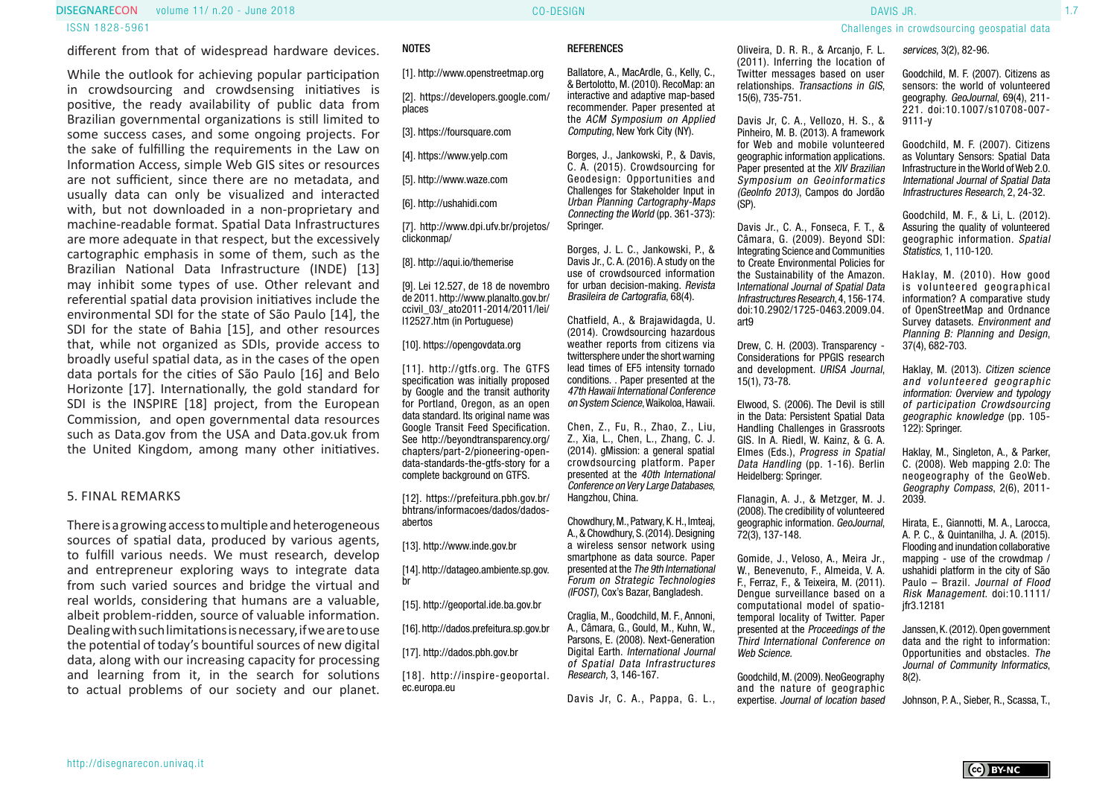### volume 11/ n.20 - June 2018 CO-DESIGN 1.7 DISEGNARECON DAVIS JR. ISSN 1828-5961

different from that of widespread hardware devices.

While the outlook for achieving popular participation in crowdsourcing and crowdsensing initiatives is positive, the ready availability of public data from Brazilian governmental organizations is still limited to some success cases, and some ongoing projects. For the sake of fulfilling the requirements in the Law on Information Access, simple Web GIS sites or resources are not sufficient, since there are no metadata, and usually data can only be visualized and interacted with, but not downloaded in a non-proprietary and machine-readable format. Spatial Data Infrastructures are more adequate in that respect, but the excessively cartographic emphasis in some of them, such as the Brazilian National Data Infrastructure (INDE) [13] may inhibit some types of use. Other relevant and referential spatial data provision initiatives include the environmental SDI for the state of São Paulo [14], the SDI for the state of Bahia [15], and other resources that, while not organized as SDIs, provide access to broadly useful spatial data, as in the cases of the open data portals for the cities of São Paulo [16] and Belo Horizonte [17]. Internationally, the gold standard for SDI is the INSPIRE [18] project, from the European Commission, and open governmental data resources such as Data.gov from the USA and Data.gov.uk from the United Kingdom, among many other initiatives.

#### 5. FINAL REMARKS

There is a growing access to multiple and heterogeneous sources of spatial data, produced by various agents, to fulfill various needs. We must research, develop and entrepreneur exploring ways to integrate data from such varied sources and bridge the virtual and real worlds, considering that humans are a valuable, albeit problem-ridden, source of valuable information. Dealing with such limitations is necessary, if we are to use the potential of today's bountiful sources of new digital data, along with our increasing capacity for processing and learning from it, in the search for solutions to actual problems of our society and our planet.

#### NOTES

[1]. http://www.openstreetmap.org

[2]. https://developers.google.com/ places

[3]. https://foursquare.com

[4]. https://www.yelp.com

[5]. http://www.waze.com

[6]. http://ushahidi.com

[7]. http://www.dpi.ufv.br/projetos/ clickonmap/

[8]. http://aqui.io/themerise

[9]. Lei 12.527, de 18 de novembro de 2011. http://www.planalto.gov.br/ ccivil\_03/\_ato2011-2014/2011/lei/ l12527.htm (in Portuguese)

[10]. https://opengovdata.org

[11]. http://qtfs.org. The GTFS specification was initially proposed by Google and the transit authority for Portland, Oregon, as an open data standard. Its original name was Google Transit Feed Specification. See http://beyondtransparency.org/ chapters/part-2/pioneering-opendata-standards-the-gtfs-story for a complete background on GTFS.

[12]. https://prefeitura.pbh.gov.br/ bhtrans/informacoes/dados/dadosabertos

[13]. http://www.inde.gov.br

[14]. http://datageo.ambiente.sp.gov. br

[15]. http://geoportal.ide.ba.gov.br

[16]. http://dados.prefeitura.sp.gov.br

[17]. http://dados.pbh.gov.br

[18]. http://inspire-geoportal. ec.europa.eu

#### **REFERENCES**

Ballatore, A., MacArdle, G., Kelly, C. & Bertolotto, M. (2010). RecoMap: an interactive and adaptive map-based recommender. Paper presented at the ACM Symposium on Applied Computing, New York City (NY).

Borges, J., Jankowski, P., & Davis, C. A. (2015). Crowdsourcing for Geodesign: Opportunities and Challenges for Stakeholder Input in Urban Planning Cartography-Maps Connecting the World (pp. 361-373): Springer.

Borges, J. L. C., Jankowski, P., & Davis Jr., C. A. (2016). A study on the use of crowdsourced information for urban decision-making. Revista Brasileira de Cartografia, 68(4).

Chatfield, A., & Brajawidagda, U. (2014). Crowdsourcing hazardous weather reports from citizens via twittersphere under the short warning lead times of EF5 intensity tornado conditions. . Paper presented at the 47th Hawaii International Conference on System Science, Waikoloa, Hawaii.

Chen, Z., Fu, R., Zhao, Z., Liu, Z., Xia, L., Chen, L., Zhang, C. J. (2014). gMission: a general spatial crowdsourcing platform. Paper presented at the 40th International Conference on Very Large Databases, Hangzhou, China.

Chowdhury, M., Patwary, K. H., Imteaj, A., & Chowdhury, S. (2014). Designing a wireless sensor network using smartphone as data source. Paper presented at the The 9th International Forum on Strategic Technologies (IFOST), Cox's Bazar, Bangladesh.

Craglia, M., Goodchild, M. F., Annoni, A., Câmara, G., Gould, M., Kuhn, W., Parsons, E. (2008). Next-Generation Digital Earth. International Journal of Spatial Data Infrastructures Research, 3, 146-167.

Davis Jr, C. A., Pappa, G. L.,

Oliveira, D. R. R., & Arcanjo, F. L. (2011). Inferring the location of Twitter messages based on user relationships. Transactions in GIS, 15(6), 735-751.

Davis Jr, C. A., Vellozo, H. S., & Pinheiro, M. B. (2013). A framework for Web and mobile volunteered geographic information applications. Paper presented at the XIV Brazilian Symposium on Geoinformatics (GeoInfo 2013), Campos do Jordão (SP).

Davis Jr., C. A., Fonseca, F. T., & Câmara, G. (2009). Beyond SDI: Integrating Science and Communities to Create Environmental Policies for the Sustainability of the Amazon. International Journal of Spatial Data Infrastructures Research, 4, 156-174. doi:10.2902/1725-0463.2009.04. art9

Drew, C. H. (2003). Transparency - Considerations for PPGIS research and development. URISA Journal, 15(1), 73-78.

Elwood, S. (2006). The Devil is still in the Data: Persistent Spatial Data Handling Challenges in Grassroots GIS. In A. Riedl, W. Kainz, & G. A. Elmes (Eds.), Progress in Spatial Data Handling (pp. 1-16). Berlin Heidelberg: Springer.

Flanagin, A. J., & Metzger, M. J. (2008). The credibility of volunteered geographic information. GeoJournal, 72(3), 137-148.

Gomide, J., Veloso, A., Meira Jr., W., Benevenuto, F., Almeida, V. A. F., Ferraz, F., & Teixeira, M. (2011). Dengue surveillance based on a computational model of spatiotemporal locality of Twitter. Paper presented at the Proceedings of the Third International Conference on Web Science.

Goodchild, M. (2009). NeoGeography and the nature of geographic expertise. Journal of location based

Challenges in crowdsourcing geospatial data services, 3(2), 82-96.

> Goodchild, M. F. (2007). Citizens as sensors: the world of volunteered geography. GeoJournal, 69(4), 211- 221. doi:10.1007/s10708-007- 9111-y

Goodchild, M. F. (2007). Citizens as Voluntary Sensors: Spatial Data Infrastructure in the World of Web 2.0. International Journal of Spatial Data Infrastructures Research, 2, 24-32.

Goodchild, M. F., & Li, L. (2012). Assuring the quality of volunteered geographic information. Spatial Statistics, 1, 110-120.

Haklay, M. (2010). How good is volunteered geographical information? A comparative study of OpenStreetMap and Ordnance Survey datasets. Environment and Planning B: Planning and Design, 37(4), 682-703.

Haklay, M. (2013). Citizen science and volunteered geographic information: Overview and typology of participation Crowdsourcing geographic knowledge (pp. 105- 122): Springer.

Haklay, M., Singleton, A., & Parker, C. (2008). Web mapping 2.0: The neogeography of the GeoWeb. Geography Compass, 2(6), 2011- 2039.

Hirata, E., Giannotti, M. A., Larocca, A. P. C., & Quintanilha, J. A. (2015). Flooding and inundation collaborative mapping - use of the crowdmap / ushahidi platform in the city of São Paulo – Brazil. Journal of Flood Risk Management. doi:10.1111/ jfr3.12181

Janssen, K. (2012). Open government data and the right to information: Opportunities and obstacles. The Journal of Community Informatics, 8(2).

Johnson, P. A., Sieber, R., Scassa, T.,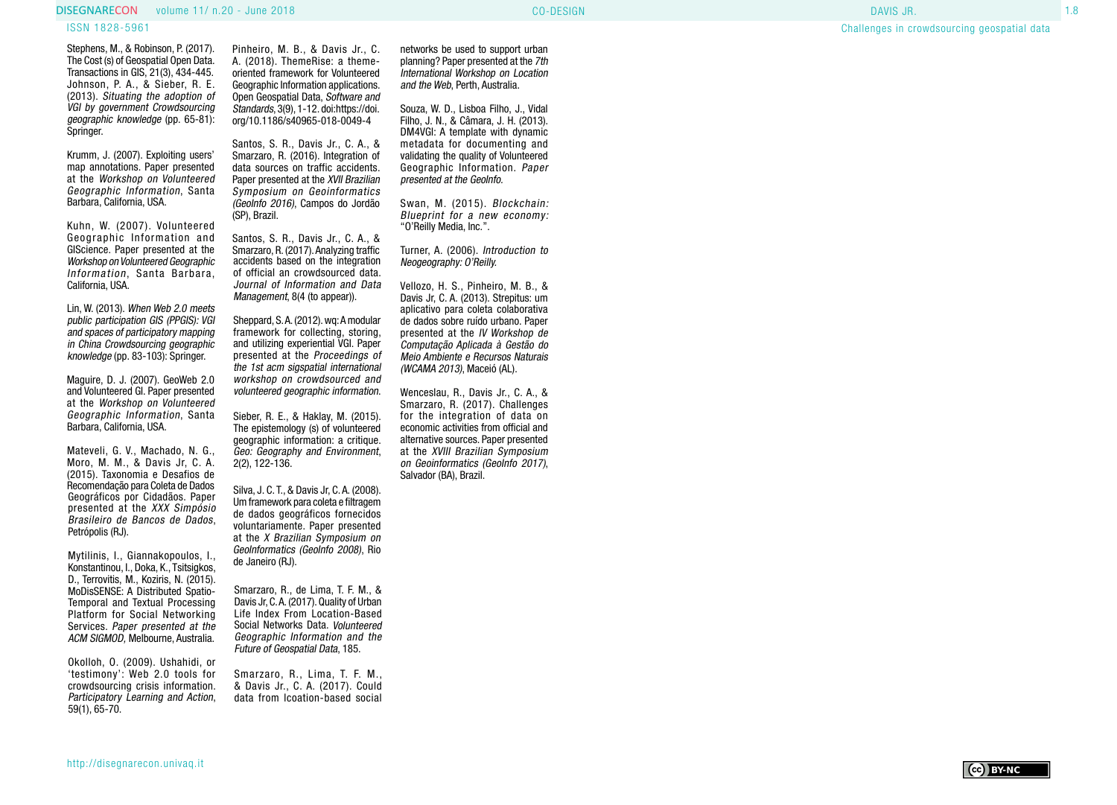#### volume 11/ n.20 - June 2018 Processes and the control of the CO-DESIGN Processes and the control of the control of the control of the control of the control of the control of the control of the control of the control of th **DISEGNARECON** volume 11/ n.20 - June 2018 **CO-DESIGN** CO-DESIGN **CO-DESIGN CO-DESIGN CO-DESIGN CO-DESIGN CO-DESIGN**

#### ISSN 1828-5961

Stephens, M., & Robinson, P. (2017). The Cost (s) of Geospatial Open Data. Transactions in GIS, 21(3), 434-445. Johnson, P. A., & Sieber, R. E. (2013). Situating the adoption of VGI by government Crowdsourcing geographic knowledge (pp. 65-81): Springer.

Krumm, J. (2007). Exploiting users' map annotations. Paper presented at the Workshop on Volunteered Geographic Information, Santa Barbara, California, USA.

Kuhn, W. (2007). Volunteered Geographic Information and GIScience. Paper presented at the Workshop on Volunteered Geographic Information, Santa Barbara, California, USA.

Lin, W. (2013). When Web 2.0 meets public participation GIS (PPGIS): VGI and spaces of participatory mapping in China Crowdsourcing geographic knowledge (pp. 83-103): Springer.

Maguire, D. J. (2007). GeoWeb 2.0 and Volunteered GI. Paper presented at the Workshop on Volunteered Geographic Information, Santa Barbara, California, USA.

Mateveli, G. V., Machado, N. G., Moro, M. M., & Davis Jr, C. A. (2015). Taxonomia e Desafios de Recomendação para Coleta de Dados Geográficos por Cidadãos. Paper presented at the XXX Simpósio Brasileiro de Bancos de Dados, Petrópolis (RJ).

Mytilinis, I., Giannakopoulos, I., Konstantinou, I., Doka, K., Tsitsigkos, D., Terrovitis, M., Koziris, N. (2015). MoDisSENSE: A Distributed Spatio-Temporal and Textual Processing Platform for Social Networking Services. Paper presented at the ACM SIGMOD, Melbourne, Australia.

Okolloh, O. (2009). Ushahidi, or 'testimony': Web 2.0 tools for crowdsourcing crisis information. Participatory Learning and Action, 59(1), 65-70.

Pinheiro, M. B., & Davis Jr., C. A. (2018). ThemeRise: a themeoriented framework for Volunteered Geographic Information applications. Open Geospatial Data, Software and Standards, 3(9), 1-12. doi:https://doi. org/10.1186/s40965-018-0049-4

Santos, S. R., Davis Jr., C. A., & Smarzaro, R. (2016). Integration of data sources on traffic accidents. Paper presented at the XVII Brazilian Symposium on Geoinformatics (GeoInfo 2016), Campos do Jordão (SP), Brazil.

Santos, S. R., Davis Jr., C. A., & Smarzaro, R. (2017). Analyzing traffic accidents based on the integration of official an crowdsourced data. Journal of Information and Data Management, 8(4 (to appear)).

Sheppard, S. A. (2012). wq: A modular framework for collecting, storing, and utilizing experiential VGI. Paper presented at the Proceedings of the 1st acm sigspatial international workshop on crowdsourced and volunteered geographic information .

Sieber, R. E., & Haklay, M. (2015). The epistemology (s) of volunteered geographic information: a critique. Geo: Geography and Environment, 2(2), 122-136.

Silva, J. C. T., & Davis Jr, C. A. (2008). Um framework para coleta e filtragem de dados geográficos fornecidos at the X Brazilian Symposium on GeoInformatics (GeoInfo 2008), Rio de Janeiro (RJ).

Smarzaro, R., de Lima, T. F. M., & Davis Jr, C. A. (2017). Quality of Urban Life Index From Location-Based Social Networks Data. Volunteered Geographic Information and the Future of Geospatial Data, 185.

Smarzaro, R., Lima, T. F. M., & Davis Jr., C. A. (2017). Could data from lcoation-based social networks be used to support urban planning? Paper presented at the 7th International Workshop on Location and the Web, Perth, Australia.

Souza, W. D., Lisboa Filho, J., Vidal Filho, J. N., & Câmara, J. H. (2013). DM4VGI: A template with dynamic metadata for documenting and validating the quality of Volunteered Geographic Information. Paper presented at the GeoInfo.

Swan, M. (2015). Blockchain: Blueprint for a new economy: "O'Reilly Media, Inc.".

Turner, A. (2006). Introduction to Neogeography: O'Reilly.

Vellozo, H. S., Pinheiro, M. B., & Davis Jr, C. A. (2013). Strepitus: um aplicativo para coleta colaborativa de dados sobre ruído urbano. Paper presented at the IV Workshop de Computação Aplicada à Gestão do Meio Ambiente e Recursos Naturais (WCAMA 2013), Maceió (AL).

Wenceslau, R., Davis Jr., C. A., & Smarzaro, R. (2017). Challenges for the integration of data on economic activities from official and alternative sources. Paper presented at the XVIII Brazilian Symposium on Geoinformatics (GeoInfo 2017). Salvador (BA), Brazil.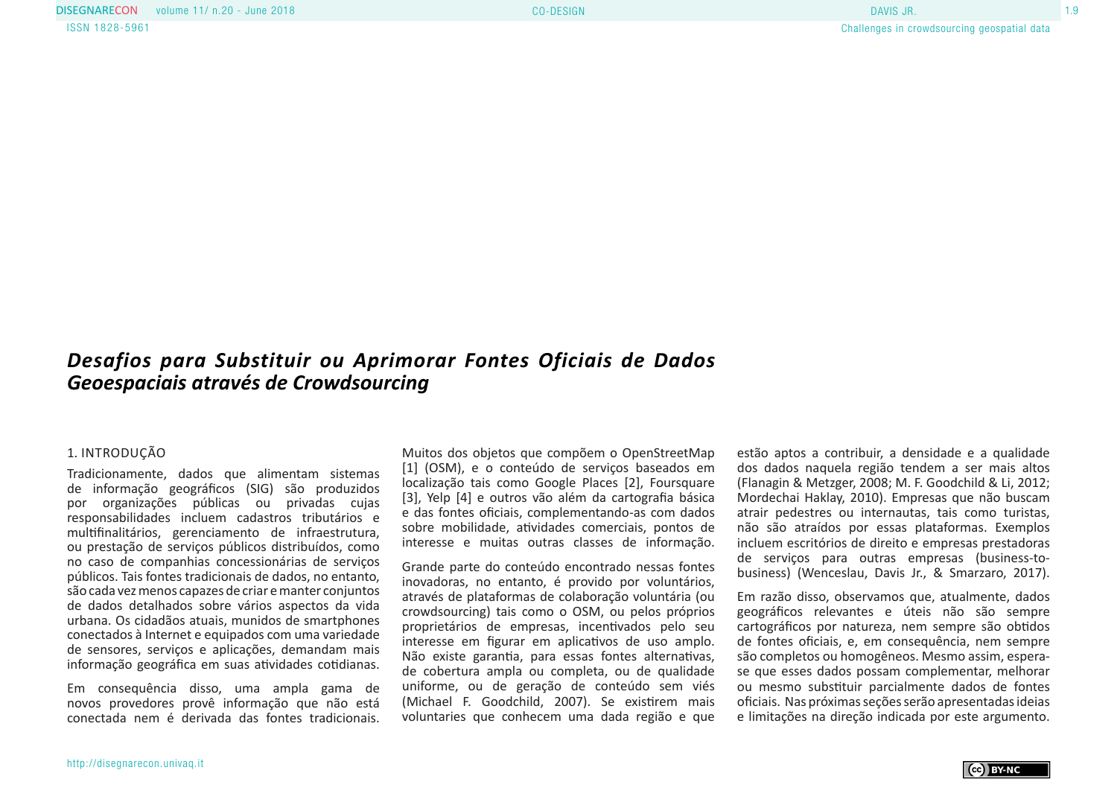## *Desafios para Substituir ou Aprimorar Fontes Oficiais de Dados Geoespaciais através de Crowdsourcing*

### 1. INTRODUÇÃO

Tradicionamente, dados que alimentam sistemas de informação geográficos (SIG) são produzidos por organizações públicas ou privadas cujas responsabilidades incluem cadastros tributários e multifinalitários, gerenciamento de infraestrutura, ou prestação de serviços públicos distribuídos, como no caso de companhias concessionárias de serviços públicos. Tais fontes tradicionais de dados, no entanto, são cada vez menos capazes de criar e manter conjuntos de dados detalhados sobre vários aspectos da vida urbana. Os cidadãos atuais, munidos de smartphones conectados à Internet e equipados com uma variedade de sensores, serviços e aplicações, demandam mais informação geográfica em suas atividades cotidianas.

Em consequência disso, uma ampla gama de novos provedores provê informação que não está conectada nem é derivada das fontes tradicionais.

Muitos dos objetos que compõem o OpenStreetMap [1] (OSM), e o conteúdo de serviços baseados em localização tais como Google Places [2], Foursquare [3], Yelp [4] e outros vão além da cartografia básica e das fontes oficiais, complementando-as com dados sobre mobilidade, atividades comerciais, pontos de interesse e muitas outras classes de informação.

Grande parte do conteúdo encontrado nessas fontes inovadoras, no entanto, é provido por voluntários, através de plataformas de colaboração voluntária (ou crowdsourcing) tais como o OSM, ou pelos próprios proprietários de empresas, incentivados pelo seu interesse em figurar em aplicativos de uso amplo. Não existe garantia, para essas fontes alternativas, de cobertura ampla ou completa, ou de qualidade uniforme, ou de geração de conteúdo sem viés (Michael F. Goodchild, 2007). Se existirem mais voluntaries que conhecem uma dada região e que estão aptos a contribuir, a densidade e a qualidade dos dados naquela região tendem a ser mais altos (Flanagin & Metzger, 2008; M. F. Goodchild & Li, 2012; Mordechai Haklay, 2010). Empresas que não buscam atrair pedestres ou internautas, tais como turistas, não são atraídos por essas plataformas. Exemplos incluem escritórios de direito e empresas prestadoras de serviços para outras empresas (business-tobusiness) (Wenceslau, Davis Jr., & Smarzaro, 2017).

Em razão disso, observamos que, atualmente, dados geográficos relevantes e úteis não são sempre cartográficos por natureza, nem sempre são obtidos de fontes oficiais, e, em consequência, nem sempre são completos ou homogêneos. Mesmo assim, esperase que esses dados possam complementar, melhorar ou mesmo substituir parcialmente dados de fontes oficiais. Nas próximas seções serão apresentadas ideias e limitações na direção indicada por este argumento.

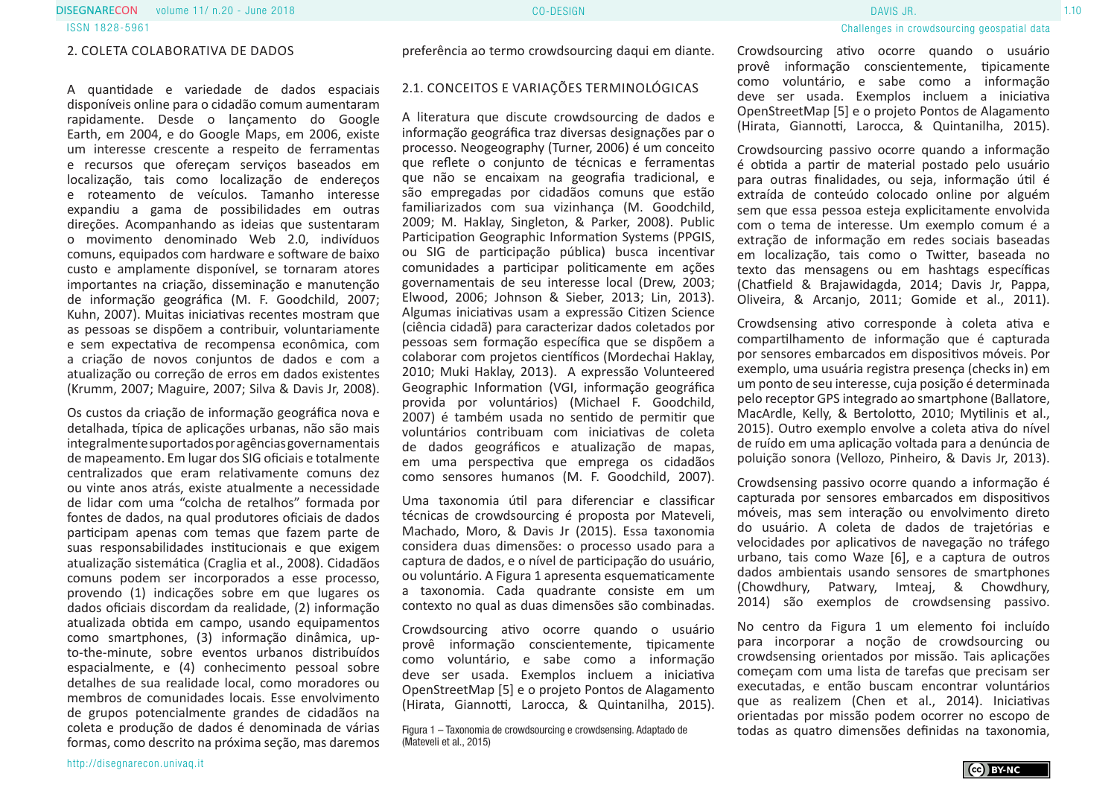#### 2. COLETA COLABORATIVA DE DADOS

A quantidade e variedade de dados espaciais disponíveis online para o cidadão comum aumentaram rapidamente. Desde o lançamento do Google Earth, em 2004, e do Google Maps, em 2006, existe um interesse crescente a respeito de ferramentas e recursos que ofereçam serviços baseados em localização, tais como localização de endereços e roteamento de veículos. Tamanho interesse expandiu a gama de possibilidades em outras direções. Acompanhando as ideias que sustentaram o movimento denominado Web 2.0, indivíduos comuns, equipados com hardware e software de baixo custo e amplamente disponível, se tornaram atores importantes na criação, disseminação e manutenção de informação geográfica (M. F. Goodchild, 2007; Kuhn, 2007). Muitas iniciativas recentes mostram que as pessoas se dispõem a contribuir, voluntariamente e sem expectativa de recompensa econômica, com a criação de novos conjuntos de dados e com a atualização ou correção de erros em dados existentes (Krumm, 2007; Maguire, 2007; Silva & Davis Jr, 2008).

Os custos da criação de informação geográfica nova e detalhada, típica de aplicações urbanas, não são mais integralmente suportados por agências governamentais de mapeamento. Em lugar dos SIG oficiais e totalmente centralizados que eram relativamente comuns dez ou vinte anos atrás, existe atualmente a necessidade de lidar com uma "colcha de retalhos" formada por fontes de dados, na qual produtores oficiais de dados participam apenas com temas que fazem parte de suas responsabilidades institucionais e que exigem atualização sistemática (Craglia et al., 2008). Cidadãos comuns podem ser incorporados a esse processo, provendo (1) indicações sobre em que lugares os dados oficiais discordam da realidade, (2) informação atualizada obtida em campo, usando equipamentos como smartphones, (3) informação dinâmica, upto-the-minute, sobre eventos urbanos distribuídos espacialmente, e (4) conhecimento pessoal sobre detalhes de sua realidade local, como moradores ou membros de comunidades locais. Esse envolvimento de grupos potencialmente grandes de cidadãos na coleta e produção de dados é denominada de várias formas, como descrito na próxima seção, mas daremos

preferência ao termo crowdsourcing daqui em diante.

#### 2.1. CONCEITOS E VARIAÇÕES TERMINOLÓGICAS

A literatura que discute crowdsourcing de dados e informação geográfica traz diversas designações par o processo. Neogeography (Turner, 2006) é um conceito que reflete o conjunto de técnicas e ferramentas que não se encaixam na geografia tradicional, e são empregadas por cidadãos comuns que estão familiarizados com sua vizinhança (M. Goodchild, 2009; M. Haklay, Singleton, & Parker, 2008). Public Participation Geographic Information Systems (PPGIS, ou SIG de participação pública) busca incentivar comunidades a participar politicamente em ações governamentais de seu interesse local (Drew, 2003; Elwood, 2006; Johnson & Sieber, 2013; Lin, 2013). Algumas iniciativas usam a expressão Citizen Science (ciência cidadã) para caracterizar dados coletados por pessoas sem formação específica que se dispõem a colaborar com projetos científicos (Mordechai Haklay, 2010; Muki Haklay, 2013). A expressão Volunteered Geographic Information (VGI, informação geográfica provida por voluntários) (Michael F. Goodchild, 2007) é também usada no sentido de permitir que voluntários contribuam com iniciativas de coleta de dados geográficos e atualização de mapas, em uma perspectiva que emprega os cidadãos como sensores humanos (M. F. Goodchild, 2007).

Uma taxonomia útil para diferenciar e classificar técnicas de crowdsourcing é proposta por Mateveli, Machado, Moro, & Davis Jr (2015). Essa taxonomia considera duas dimensões: o processo usado para a captura de dados, e o nível de participação do usuário, ou voluntário. A Figura 1 apresenta esquematicamente a taxonomia. Cada quadrante consiste em um contexto no qual as duas dimensões são combinadas.

Crowdsourcing ativo ocorre quando o usuário provê informação conscientemente, tipicamente como voluntário, e sabe como a informação deve ser usada. Exemplos incluem a iniciativa OpenStreetMap [5] e o projeto Pontos de Alagamento (Hirata, Giannotti, Larocca, & Quintanilha, 2015).

Figura 1 – Taxonomia de crowdsourcing e crowdsensing. Adaptado de todas as quatro dimensões definidas na taxonomia, (Mateveli et al., 2015)

Crowdsourcing ativo ocorre quando o usuário provê informação conscientemente, tipicamente como voluntário, e sabe como a informação deve ser usada. Exemplos incluem a iniciativa OpenStreetMap [5] e o projeto Pontos de Alagamento (Hirata, Giannotti, Larocca, & Quintanilha, 2015).

Crowdsourcing passivo ocorre quando a informação é obtida a partir de material postado pelo usuário para outras finalidades, ou seja, informação útil é extraída de conteúdo colocado online por alguém sem que essa pessoa esteja explicitamente envolvida com o tema de interesse. Um exemplo comum é a extração de informação em redes sociais baseadas em localização, tais como o Twitter, baseada no texto das mensagens ou em hashtags específicas (Chatfield & Brajawidagda, 2014; Davis Jr, Pappa, Oliveira, & Arcanjo, 2011; Gomide et al., 2011).

Crowdsensing ativo corresponde à coleta ativa e compartilhamento de informação que é capturada por sensores embarcados em dispositivos móveis. Por exemplo, uma usuária registra presença (checks in) em um ponto de seu interesse, cuja posição é determinada pelo receptor GPS integrado ao smartphone (Ballatore, MacArdle, Kelly, & Bertolotto, 2010; Mytilinis et al., 2015). Outro exemplo envolve a coleta ativa do nível de ruído em uma aplicação voltada para a denúncia de poluição sonora (Vellozo, Pinheiro, & Davis Jr, 2013).

Crowdsensing passivo ocorre quando a informação é capturada por sensores embarcados em dispositivos móveis, mas sem interação ou envolvimento direto do usuário. A coleta de dados de trajetórias e velocidades por aplicativos de navegação no tráfego urbano, tais como Waze [6], e a captura de outros dados ambientais usando sensores de smartphones (Chowdhury, Patwary, Imteaj, & Chowdhury, 2014) são exemplos de crowdsensing passivo.

No centro da Figura 1 um elemento foi incluído para incorporar a noção de crowdsourcing ou crowdsensing orientados por missão. Tais aplicações começam com uma lista de tarefas que precisam ser executadas, e então buscam encontrar voluntários que as realizem (Chen et al., 2014). Iniciativas orientadas por missão podem ocorrer no escopo de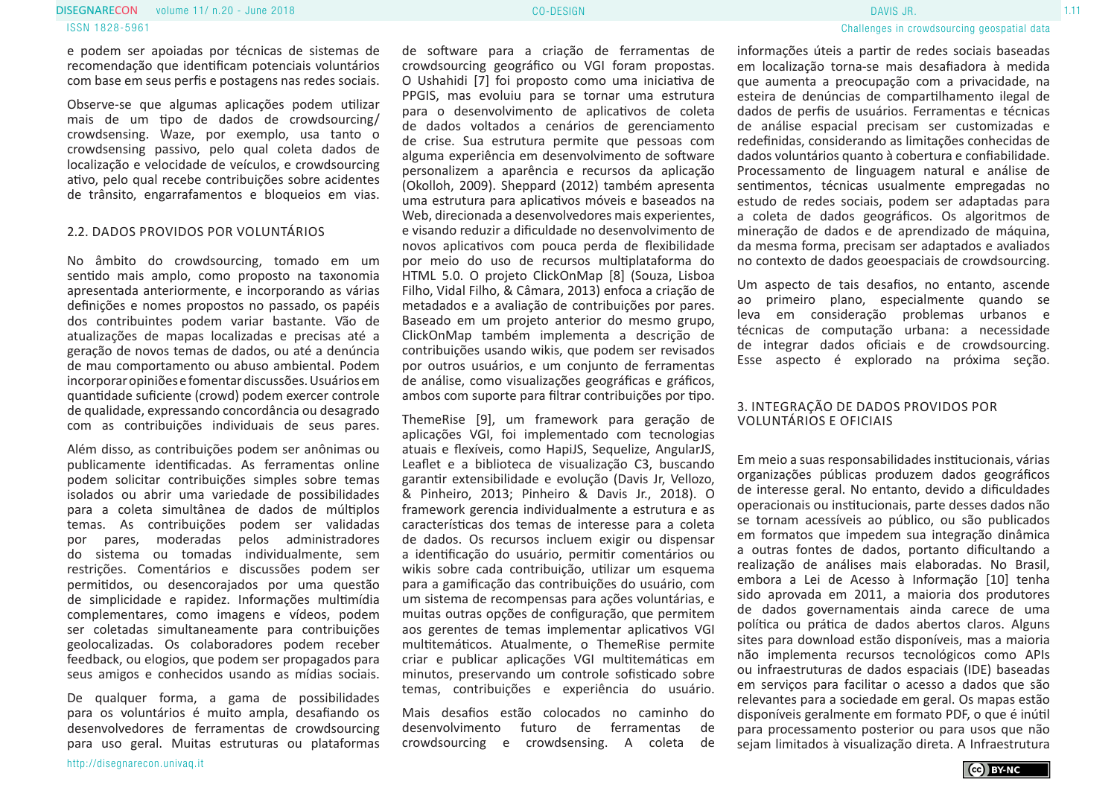#### volume 11/ n.20 - June 2018 Processes and the CO-DESIGN 1.11 CO-DESIGN 1.11 CO-DESIGN 1.11 CO-DESIGN 1.11 CO-D ISSN 1828-5961 **DISEGNARECON** volume 11/ n.20 - June 2018 **CO-DISER CO-DISENT CO-DESIGN CO-DESIGN CO-DESIGN**

e podem ser apoiadas por técnicas de sistemas de recomendação que identificam potenciais voluntários com base em seus perfis e postagens nas redes sociais.

Observe-se que algumas aplicações podem utilizar mais de um tipo de dados de crowdsourcing/ crowdsensing. Waze, por exemplo, usa tanto o crowdsensing passivo, pelo qual coleta dados de localização e velocidade de veículos, e crowdsourcing ativo, pelo qual recebe contribuições sobre acidentes de trânsito, engarrafamentos e bloqueios em vias.

#### 2.2. DADOS PROVIDOS POR VOLUNTÁRIOS

No âmbito do crowdsourcing, tomado em um sentido mais amplo, como proposto na taxonomia apresentada anteriormente, e incorporando as várias definições e nomes propostos no passado, os papéis dos contribuintes podem variar bastante. Vão de atualizações de mapas localizadas e precisas até a geração de novos temas de dados, ou até a denúncia de mau comportamento ou abuso ambiental. Podem incorporar opiniões e fomentar discussões. Usuários em quantidade suficiente (crowd) podem exercer controle de qualidade, expressando concordância ou desagrado com as contribuições individuais de seus pares.

Além disso, as contribuições podem ser anônimas ou publicamente identificadas. As ferramentas online podem solicitar contribuições simples sobre temas isolados ou abrir uma variedade de possibilidades para a coleta simultânea de dados de múltiplos temas. As contribuições podem ser validadas por pares, moderadas pelos administradores do sistema ou tomadas individualmente, sem restrições. Comentários e discussões podem ser permitidos, ou desencorajados por uma questão de simplicidade e rapidez. Informações multimídia complementares, como imagens e vídeos, podem ser coletadas simultaneamente para contribuições geolocalizadas. Os colaboradores podem receber feedback, ou elogios, que podem ser propagados para seus amigos e conhecidos usando as mídias sociais.

De qualquer forma, a gama de possibilidades para os voluntários é muito ampla, desafiando os desenvolvedores de ferramentas de crowdsourcing para uso geral. Muitas estruturas ou plataformas

de software para a criação de ferramentas de crowdsourcing geográfico ou VGI foram propostas. O Ushahidi [7] foi proposto como uma iniciativa de PPGIS, mas evoluiu para se tornar uma estrutura para o desenvolvimento de aplicativos de coleta de dados voltados a cenários de gerenciamento de crise. Sua estrutura permite que pessoas com alguma experiência em desenvolvimento de software personalizem a aparência e recursos da aplicação (Okolloh, 2009). Sheppard (2012) também apresenta uma estrutura para aplicativos móveis e baseados na Web, direcionada a desenvolvedores mais experientes. e visando reduzir a dificuldade no desenvolvimento de novos aplicativos com pouca perda de flexibilidade por meio do uso de recursos multiplataforma do HTML 5.0. O projeto ClickOnMap [8] (Souza, Lisboa Filho, Vidal Filho, & Câmara, 2013) enfoca a criação de metadados e a avaliação de contribuições por pares. Baseado em um projeto anterior do mesmo grupo, ClickOnMap também implementa a descrição de contribuições usando wikis, que podem ser revisados por outros usuários, e um conjunto de ferramentas de análise, como visualizações geográficas e gráficos, ambos com suporte para filtrar contribuições por tipo.

ThemeRise [9], um framework para geração de aplicações VGI, foi implementado com tecnologias atuais e flexíveis, como HapiJS, Sequelize, AngularJS, Leaflet e a biblioteca de visualização C3, buscando garantir extensibilidade e evolução (Davis Jr, Vellozo, & Pinheiro, 2013; Pinheiro & Davis Jr., 2018). O framework gerencia individualmente a estrutura e as características dos temas de interesse para a coleta de dados. Os recursos incluem exigir ou dispensar a identificação do usuário, permitir comentários ou wikis sobre cada contribuição, utilizar um esquema para a gamificação das contribuições do usuário, com um sistema de recompensas para ações voluntárias, e muitas outras opções de configuração, que permitem aos gerentes de temas implementar aplicativos VGI multitemáticos. Atualmente, o ThemeRise permite criar e publicar aplicações VGI multitemáticas em minutos, preservando um controle sofisticado sobre temas, contribuições e experiência do usuário.

Mais desafios estão colocados no caminho do desenvolvimento futuro de ferramentas de crowdsourcing e crowdsensing. A coleta de informações úteis a partir de redes sociais baseadas em localização torna-se mais desafiadora à medida que aumenta a preocupação com a privacidade, na esteira de denúncias de compartilhamento ilegal de dados de perfis de usuários. Ferramentas e técnicas de análise espacial precisam ser customizadas e redefinidas, considerando as limitações conhecidas de dados voluntários quanto à cobertura e confiabilidade. Processamento de linguagem natural e análise de sentimentos, técnicas usualmente empregadas no estudo de redes sociais, podem ser adaptadas para a coleta de dados geográficos. Os algoritmos de mineração de dados e de aprendizado de máquina, da mesma forma, precisam ser adaptados e avaliados no contexto de dados geoespaciais de crowdsourcing.

Um aspecto de tais desafios, no entanto, ascende ao primeiro plano, especialmente quando se leva em consideração problemas urbanos e técnicas de computação urbana: a necessidade de integrar dados oficiais e de crowdsourcing. Esse aspecto é explorado na próxima seção.

#### 3. INTEGRAÇÃO DE DADOS PROVIDOS POR VOLUNTÁRIOS E OFICIAIS

Em meio a suas responsabilidades institucionais, várias organizações públicas produzem dados geográficos de interesse geral. No entanto, devido a dificuldades operacionais ou institucionais, parte desses dados não se tornam acessíveis ao público, ou são publicados em formatos que impedem sua integração dinâmica a outras fontes de dados, portanto dificultando a realização de análises mais elaboradas. No Brasil, embora a Lei de Acesso à Informação [10] tenha sido aprovada em 2011, a maioria dos produtores de dados governamentais ainda carece de uma política ou prática de dados abertos claros. Alguns sites para download estão disponíveis, mas a maioria não implementa recursos tecnológicos como APIs ou infraestruturas de dados espaciais (IDE) baseadas em serviços para facilitar o acesso a dados que são relevantes para a sociedade em geral. Os mapas estão disponíveis geralmente em formato PDF, o que é inútil para processamento posterior ou para usos que não seiam limitados à visualização direta. A Infraestrutura

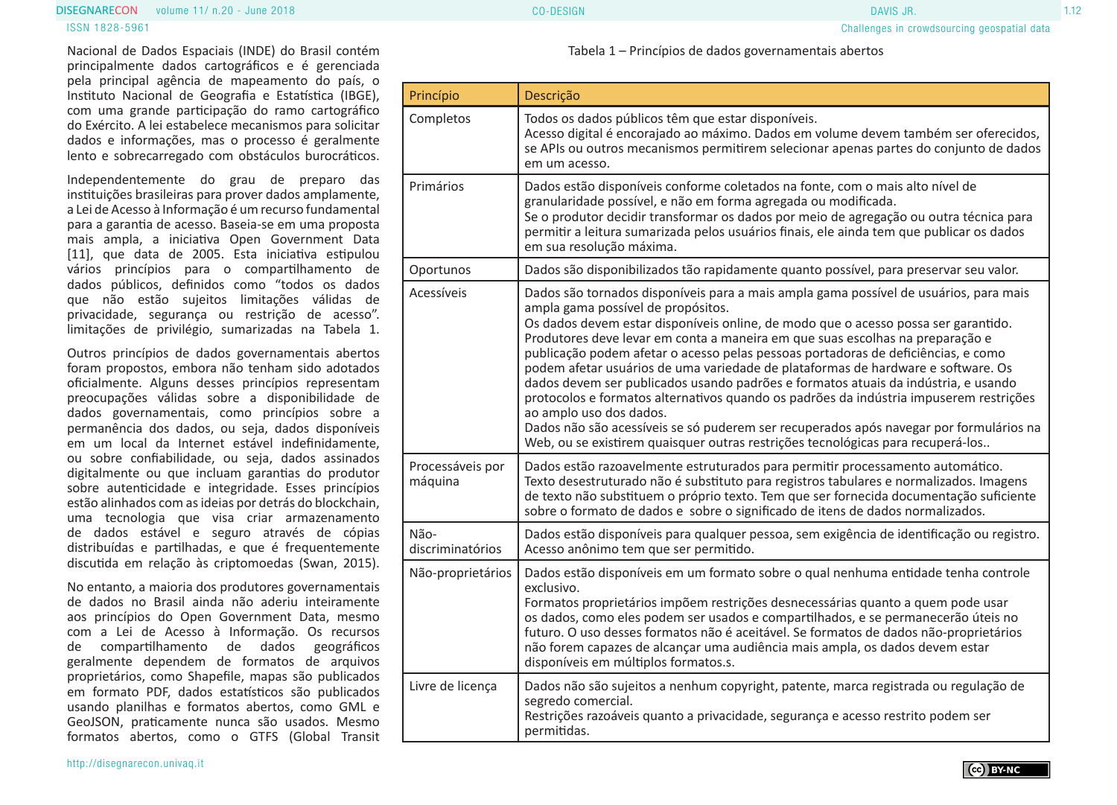#### volume 11/ n.20 - June 2018 CO-DESIGN 1.12 **DISEGNARECON** volume 11/ n.20 - June 2018 **CONSULATE:** CO-DESIGN CO-DESIGN DAVIS JR.

Nacional de Dados Espaciais (INDE) do Brasil contém principalmente dados cartográficos e é gerenciada pela principal agência de mapeamento do país, o Instituto Nacional de Geografia e Estatística (IBGE), com uma grande participação do ramo cartográfico do Exército. A lei estabelece mecanismos para solicitar dados e informações, mas o processo é geralmente lento e sobrecarregado com obstáculos burocráticos.

Independentemente do grau de preparo das instituições brasileiras para prover dados amplamente, a Lei de Acesso à Informação é um recurso fundamental para a garantia de acesso. Baseia-se em uma proposta mais ampla, a iniciativa Open Government Data [11], que data de 2005. Esta iniciativa estipulou vários princípios para o compartilhamento de dados públicos, definidos como "todos os dados que não estão sujeitos limitações válidas de privacidade, segurança ou restrição de acesso". limitações de privilégio, sumarizadas na Tabela 1.

Outros princípios de dados governamentais abertos foram propostos, embora não tenham sido adotados oficialmente. Alguns desses princípios representam preocupações válidas sobre a disponibilidade de dados governamentais, como princípios sobre a permanência dos dados, ou seja, dados disponíveis em um local da Internet estável indefinidamente, ou sobre confiabilidade, ou seja, dados assinados digitalmente ou que incluam garantias do produtor sobre autenticidade e integridade. Esses princípios estão alinhados com as ideias por detrás do blockchain, uma tecnologia que visa criar armazenamento de dados estável e seguro através de cópias distribuídas e partilhadas, e que é frequentemente discutida em relação às criptomoedas (Swan, 2015).

No entanto, a maioria dos produtores governamentais de dados no Brasil ainda não aderiu inteiramente aos princípios do Open Government Data, mesmo com a Lei de Acesso à Informação. Os recursos de compartilhamento de dados geográficos geralmente dependem de formatos de arquivos proprietários, como Shapefile, mapas são publicados em formato PDF, dados estatísticos são publicados usando planilhas e formatos abertos, como GML e GeoJSON, praticamente nunca são usados. Mesmo formatos abertos, como o GTFS (Global Transit

Cco BY-NC

Tabela 1 – Princípios de dados governamentais abertos

| Princípio                   | Descrição                                                                                                                                                                                                                                                                                                                                                                                                                                                                                                                                                                                                                                                                                                                                                                                                                                                           |
|-----------------------------|---------------------------------------------------------------------------------------------------------------------------------------------------------------------------------------------------------------------------------------------------------------------------------------------------------------------------------------------------------------------------------------------------------------------------------------------------------------------------------------------------------------------------------------------------------------------------------------------------------------------------------------------------------------------------------------------------------------------------------------------------------------------------------------------------------------------------------------------------------------------|
| Completos                   | Todos os dados públicos têm que estar disponíveis.<br>Acesso digital é encorajado ao máximo. Dados em volume devem também ser oferecidos,<br>se APIs ou outros mecanismos permitirem selecionar apenas partes do conjunto de dados<br>em um acesso.                                                                                                                                                                                                                                                                                                                                                                                                                                                                                                                                                                                                                 |
| Primários                   | Dados estão disponíveis conforme coletados na fonte, com o mais alto nível de<br>granularidade possível, e não em forma agregada ou modificada.<br>Se o produtor decidir transformar os dados por meio de agregação ou outra técnica para<br>permitir a leitura sumarizada pelos usuários finais, ele ainda tem que publicar os dados<br>em sua resolução máxima.                                                                                                                                                                                                                                                                                                                                                                                                                                                                                                   |
| Oportunos                   | Dados são disponibilizados tão rapidamente quanto possível, para preservar seu valor.                                                                                                                                                                                                                                                                                                                                                                                                                                                                                                                                                                                                                                                                                                                                                                               |
| Acessíveis                  | Dados são tornados disponíveis para a mais ampla gama possível de usuários, para mais<br>ampla gama possível de propósitos.<br>Os dados devem estar disponíveis online, de modo que o acesso possa ser garantido.<br>Produtores deve levar em conta a maneira em que suas escolhas na preparação e<br>publicação podem afetar o acesso pelas pessoas portadoras de deficiências, e como<br>podem afetar usuários de uma variedade de plataformas de hardware e software. Os<br>dados devem ser publicados usando padrões e formatos atuais da indústria, e usando<br>protocolos e formatos alternativos quando os padrões da indústria impuserem restrições<br>ao amplo uso dos dados.<br>Dados não são acessíveis se só puderem ser recuperados após navegar por formulários na<br>Web, ou se existirem quaisquer outras restrições tecnológicas para recuperá-los |
| Processáveis por<br>máquina | Dados estão razoavelmente estruturados para permitir processamento automático.<br>Texto desestruturado não é substituto para registros tabulares e normalizados. Imagens<br>de texto não substituem o próprio texto. Tem que ser fornecida documentação suficiente<br>sobre o formato de dados e sobre o significado de itens de dados normalizados.                                                                                                                                                                                                                                                                                                                                                                                                                                                                                                                |
| Não-<br>discriminatórios    | Dados estão disponíveis para qualquer pessoa, sem exigência de identificação ou registro.<br>Acesso anônimo tem que ser permitido.                                                                                                                                                                                                                                                                                                                                                                                                                                                                                                                                                                                                                                                                                                                                  |
| Não-proprietários           | Dados estão disponíveis em um formato sobre o qual nenhuma entidade tenha controle<br>exclusivo.<br>Formatos proprietários impõem restrições desnecessárias quanto a quem pode usar<br>os dados, como eles podem ser usados e compartilhados, e se permanecerão úteis no<br>futuro. O uso desses formatos não é aceitável. Se formatos de dados não-proprietários<br>não forem capazes de alcançar uma audiência mais ampla, os dados devem estar<br>disponíveis em múltiplos formatos.s.                                                                                                                                                                                                                                                                                                                                                                           |
| Livre de licença            | Dados não são sujeitos a nenhum copyright, patente, marca registrada ou regulação de<br>segredo comercial.<br>Restrições razoáveis quanto a privacidade, segurança e acesso restrito podem ser<br>permitidas.                                                                                                                                                                                                                                                                                                                                                                                                                                                                                                                                                                                                                                                       |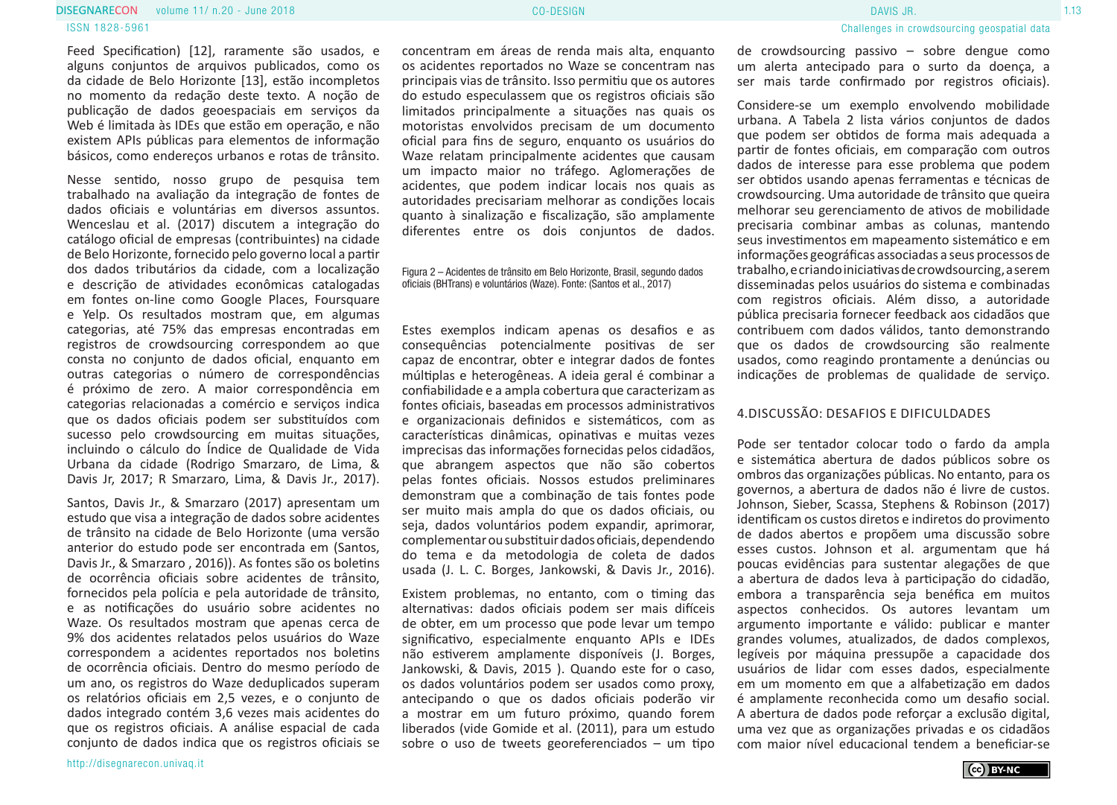#### volume 11/ n.20 - June 2018 CO-DESIGN 1.13 ISSN 1828-5961 **DISEGNARECON** volume 11/ n.20 - June 2018 **CONFINITION** CO-DESIGN CO-DESIGN **CO-DESIGN**

Feed Specification) [12], raramente são usados, e alguns conjuntos de arquivos publicados, como os da cidade de Belo Horizonte [13], estão incompletos no momento da redação deste texto. A noção de publicação de dados geoespaciais em serviços da Web é limitada às IDEs que estão em operação, e não existem APIs públicas para elementos de informação básicos, como endereços urbanos e rotas de trânsito.

Nesse sentido, nosso grupo de pesquisa tem trabalhado na avaliação da integração de fontes de dados oficiais e voluntárias em diversos assuntos. Wenceslau et al. (2017) discutem a integração do catálogo oficial de empresas (contribuintes) na cidade de Belo Horizonte, fornecido pelo governo local a partir dos dados tributários da cidade, com a localização e descrição de atividades econômicas catalogadas em fontes on-line como Google Places, Foursquare e Yelp. Os resultados mostram que, em algumas categorias, até 75% das empresas encontradas em registros de crowdsourcing correspondem ao que consta no conjunto de dados oficial, enquanto em outras categorias o número de correspondências é próximo de zero. A maior correspondência em categorias relacionadas a comércio e serviços indica que os dados oficiais podem ser substituídos com sucesso pelo crowdsourcing em muitas situações, incluindo o cálculo do Índice de Qualidade de Vida Urbana da cidade (Rodrigo Smarzaro, de Lima, & Davis Jr, 2017; R Smarzaro, Lima, & Davis Jr., 2017).

Santos, Davis Jr., & Smarzaro (2017) apresentam um estudo que visa a integração de dados sobre acidentes de trânsito na cidade de Belo Horizonte (uma versão anterior do estudo pode ser encontrada em (Santos, Davis Jr., & Smarzaro , 2016)). As fontes são os boletins de ocorrência oficiais sobre acidentes de trânsito, fornecidos pela polícia e pela autoridade de trânsito, e as notificações do usuário sobre acidentes no Waze. Os resultados mostram que apenas cerca de 9% dos acidentes relatados pelos usuários do Waze correspondem a acidentes reportados nos boletins de ocorrência oficiais. Dentro do mesmo período de um ano, os registros do Waze deduplicados superam os relatórios oficiais em 2,5 vezes, e o conjunto de dados integrado contém 3,6 vezes mais acidentes do que os registros oficiais. A análise espacial de cada conjunto de dados indica que os registros oficiais se

concentram em áreas de renda mais alta, enquanto os acidentes reportados no Waze se concentram nas principais vias de trânsito. Isso permitiu que os autores do estudo especulassem que os registros oficiais são limitados principalmente a situações nas quais os motoristas envolvidos precisam de um documento oficial para fins de seguro, enquanto os usuários do Waze relatam principalmente acidentes que causam um impacto maior no tráfego. Aglomerações de acidentes, que podem indicar locais nos quais as autoridades precisariam melhorar as condições locais quanto à sinalização e fiscalização, são amplamente diferentes entre os dois conjuntos de dados.

Figura 2 – Acidentes de trânsito em Belo Horizonte, Brasil, segundo dados oficiais (BHTrans) e voluntários (Waze). Fonte: (Santos et al., 2017)

Estes exemplos indicam apenas os desafios e as consequências potencialmente positivas de ser capaz de encontrar, obter e integrar dados de fontes múltiplas e heterogêneas. A ideia geral é combinar a confiabilidade e a ampla cobertura que caracterizam as fontes oficiais, baseadas em processos administrativos e organizacionais definidos e sistemáticos, com as características dinâmicas, opinativas e muitas vezes imprecisas das informações fornecidas pelos cidadãos, que abrangem aspectos que não são cobertos pelas fontes oficiais. Nossos estudos preliminares demonstram que a combinação de tais fontes pode ser muito mais ampla do que os dados oficiais, ou seja, dados voluntários podem expandir, aprimorar, complementar ou substituir dados oficiais, dependendo do tema e da metodologia de coleta de dados usada (J. L. C. Borges, Jankowski, & Davis Jr., 2016).

Existem problemas, no entanto, com o timing das alternativas: dados oficiais podem ser mais difíceis de obter, em um processo que pode levar um tempo significativo, especialmente enquanto APIs e IDEs não estiverem amplamente disponíveis (J. Borges, Jankowski, & Davis, 2015 ). Quando este for o caso, os dados voluntários podem ser usados como proxy, antecipando o que os dados oficiais poderão vir a mostrar em um futuro próximo, quando forem liberados (vide Gomide et al. (2011), para um estudo sobre o uso de tweets georeferenciados – um tipo

http://disegnarecon.univaq.it

de crowdsourcing passivo – sobre dengue como um alerta antecipado para o surto da doença, a ser mais tarde confirmado por registros oficiais).

Considere-se um exemplo envolvendo mobilidade urbana. A Tabela 2 lista vários conjuntos de dados que podem ser obtidos de forma mais adequada a partir de fontes oficiais, em comparação com outros dados de interesse para esse problema que podem ser obtidos usando apenas ferramentas e técnicas de crowdsourcing. Uma autoridade de trânsito que queira melhorar seu gerenciamento de ativos de mobilidade precisaria combinar ambas as colunas, mantendo seus investimentos em mapeamento sistemático e em informações geográficas associadas a seus processos de trabalho, e criando iniciativas de crowdsourcing, a serem disseminadas pelos usuários do sistema e combinadas com registros oficiais. Além disso, a autoridade pública precisaria fornecer feedback aos cidadãos que contribuem com dados válidos, tanto demonstrando que os dados de crowdsourcing são realmente usados, como reagindo prontamente a denúncias ou indicações de problemas de qualidade de serviço.

### 4.DISCUSSÃO: DESAFIOS E DIFICULDADES

Pode ser tentador colocar todo o fardo da ampla e sistemática abertura de dados públicos sobre os ombros das organizações públicas. No entanto, para os governos, a abertura de dados não é livre de custos. Johnson, Sieber, Scassa, Stephens & Robinson (2017) identificam os custos diretos e indiretos do provimento de dados abertos e propõem uma discussão sobre esses custos. Johnson et al. argumentam que há poucas evidências para sustentar alegações de que a abertura de dados leva à participação do cidadão, embora a transparência seja benéfica em muitos aspectos conhecidos. Os autores levantam um argumento importante e válido: publicar e manter grandes volumes, atualizados, de dados complexos, legíveis por máquina pressupõe a capacidade dos usuários de lidar com esses dados, especialmente em um momento em que a alfabetização em dados é amplamente reconhecida como um desafio social. A abertura de dados pode reforçar a exclusão digital, uma vez que as organizações privadas e os cidadãos com maior nível educacional tendem a beneficiar-se

(cc) BY-NC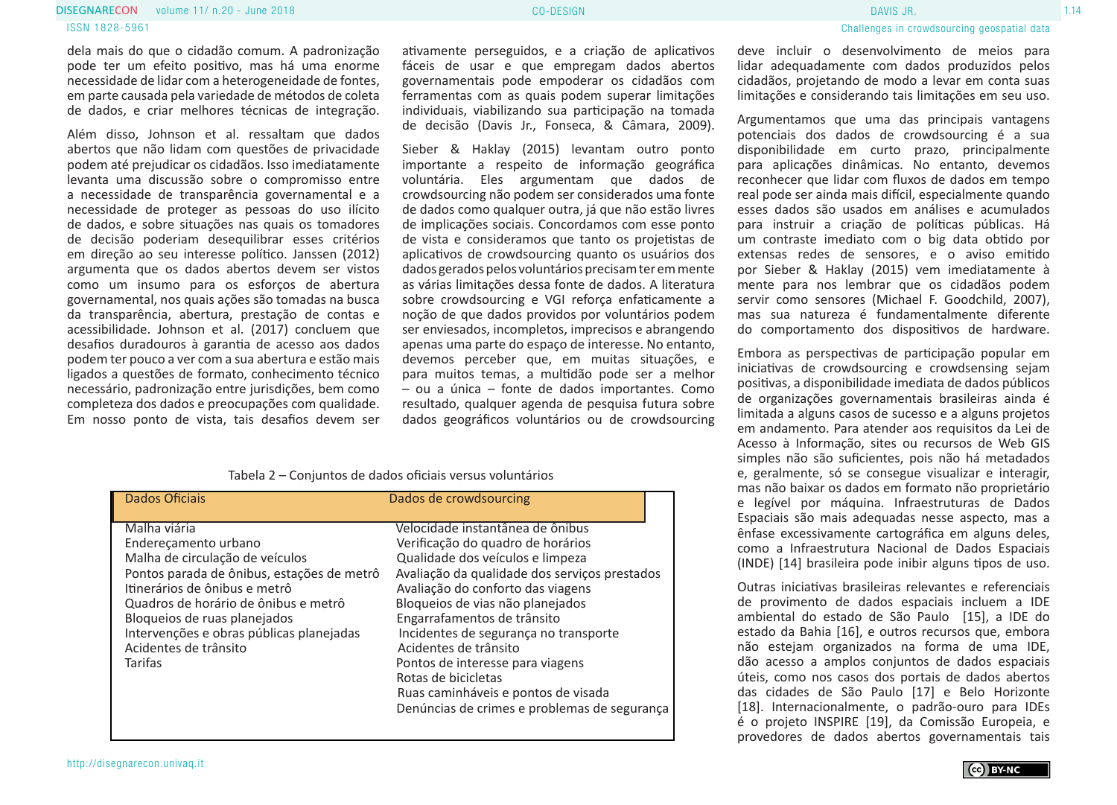#### volume 11/ n.20 - June 2018 Processes and the control of the CO-DESIGN Processes and the control of the control of the control of the control of the control of the control of the control of the control of the control of th **DISEGNARECON** volume 11/ n.20 - June 2018 **CONFINITION CONFIDENTIAL CO-DESIGN CO-DESIGN CO-DESIGN CO-DESIGN**

ISSN 1828-5961

dela mais do que o cidadão comum. A padronização pode ter um efeito positivo, mas há uma enorme necessidade de lidar com a heterogeneidade de fontes, em parte causada pela variedade de métodos de coleta de dados, e criar melhores técnicas de integração.

Além disso, Johnson et al. ressaltam que dados abertos que não lidam com questões de privacidade podem até prejudicar os cidadãos. Isso imediatamente levanta uma discussão sobre o compromisso entre a necessidade de transparência governamental e a necessidade de proteger as pessoas do uso ilícito de dados, e sobre situações nas quais os tomadores de decisão poderiam desequilibrar esses critérios em direção ao seu interesse político. Janssen (2012) argumenta que os dados abertos devem ser vistos como um insumo para os esforços de abertura governamental, nos quais ações são tomadas na busca da transparência, abertura, prestação de contas e acessibilidade. Johnson et al. (2017) concluem que desafios duradouros à garantia de acesso aos dados podem ter pouco a ver com a sua abertura e estão mais ligados a questões de formato, conhecimento técnico necessário, padronização entre jurisdições, bem como completeza dos dados e preocupações com qualidade. Em nosso ponto de vista, tais desafios devem ser

ativamente perseguidos, e a criação de aplicativos fáceis de usar e que empregam dados abertos governamentais pode empoderar os cidadãos com ferramentas com as quais podem superar limitações individuais, viabilizando sua participação na tomada de decisão (Davis Jr., Fonseca, & Câmara, 2009).

Sieber & Haklay (2015) levantam outro ponto importante a respeito de informação geográfica voluntária. Eles argumentam que dados de crowdsourcing não podem ser considerados uma fonte de dados como qualquer outra, já que não estão livres de implicações sociais. Concordamos com esse ponto de vista e consideramos que tanto os projetistas de aplicativos de crowdsourcing quanto os usuários dos dados gerados pelos voluntários precisam ter em mente as várias limitações dessa fonte de dados. A literatura sobre crowdsourcing e VGI reforça enfaticamente a noção de que dados providos por voluntários podem ser enviesados, incompletos, imprecisos e abrangendo apenas uma parte do espaço de interesse. No entanto, devemos perceber que, em muitas situações, e para muitos temas, a multidão pode ser a melhor – ou a única – fonte de dados importantes. Como resultado, qualquer agenda de pesquisa futura sobre dados geográficos voluntários ou de crowdsourcing

| Dados Oficiais                                                                                                                                                                                                                                                                                                 | Dados de crowdsourcing                                                                                                                                                                                                                                                                                                                                                                                                                                                                 |
|----------------------------------------------------------------------------------------------------------------------------------------------------------------------------------------------------------------------------------------------------------------------------------------------------------------|----------------------------------------------------------------------------------------------------------------------------------------------------------------------------------------------------------------------------------------------------------------------------------------------------------------------------------------------------------------------------------------------------------------------------------------------------------------------------------------|
| Malha viária<br>Enderecamento urbano<br>Malha de circulação de veículos<br>Pontos parada de ônibus, estações de metrô<br>Itinerários de ônibus e metrô<br>Quadros de horário de ônibus e metrô<br>Bloqueios de ruas planejados<br>Intervenções e obras públicas planejadas<br>Acidentes de trânsito<br>Tarifas | Velocidade instantânea de ônibus<br>Verificação do quadro de horários<br>Qualidade dos veículos e limpeza<br>Avaliação da qualidade dos serviços prestados<br>Avaliação do conforto das viagens<br>Bloqueios de vias não planejados<br>Engarrafamentos de trânsito<br>Incidentes de segurança no transporte<br>Acidentes de trânsito<br>Pontos de interesse para viagens<br>Rotas de bicicletas<br>Ruas caminháveis e pontos de visada<br>Denúncias de crimes e problemas de segurança |

lidar adequadamente com dados produzidos pelos cidadãos, projetando de modo a levar em conta suas limitações e considerando tais limitações em seu uso.

Argumentamos que uma das principais vantagens potenciais dos dados de crowdsourcing é a sua disponibilidade em curto prazo, principalmente para aplicações dinâmicas. No entanto, devemos reconhecer que lidar com fluxos de dados em tempo real pode ser ainda mais difícil, especialmente quando esses dados são usados em análises e acumulados para instruir a criação de políticas públicas. Há um contraste imediato com o big data obtido por extensas redes de sensores, e o aviso emitido por Sieber & Haklay (2015) vem imediatamente à mente para nos lembrar que os cidadãos podem servir como sensores (Michael F. Goodchild, 2007), mas sua natureza é fundamentalmente diferente do comportamento dos dispositivos de hardware.

Embora as perspectivas de participação popular em iniciativas de crowdsourcing e crowdsensing sejam positivas, a disponibilidade imediata de dados públicos de organizações governamentais brasileiras ainda é limitada a alguns casos de sucesso e a alguns projetos em andamento. Para atender aos requisitos da Lei de Acesso à Informação, sites ou recursos de Web GIS simples não são suficientes, pois não há metadados e, geralmente, só se consegue visualizar e interagir, mas não baixar os dados em formato não proprietário e legível por máquina. Infraestruturas de Dados Espaciais são mais adequadas nesse aspecto, mas a ênfase excessivamente cartográfica em alguns deles, como a Infraestrutura Nacional de Dados Espaciais (INDE) [14] brasileira pode inibir alguns tipos de uso.

Outras iniciativas brasileiras relevantes e referenciais de provimento de dados espaciais incluem a IDE ambiental do estado de São Paulo [15], a IDE do estado da Bahia [16], e outros recursos que, embora não estejam organizados na forma de uma IDE, dão acesso a amplos conjuntos de dados espaciais úteis, como nos casos dos portais de dados abertos das cidades de São Paulo [17] e Belo Horizonte [18]. Internacionalmente, o padrão-ouro para IDEs é o projeto INSPIRE [19], da Comissão Europeia, e provedores de dados abertos governamentais tais